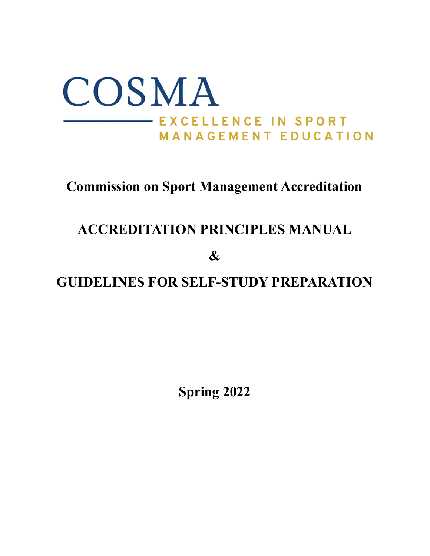

# **Commission on Sport Management Accreditation**

# **ACCREDITATION PRINCIPLES MANUAL**

**&**

**GUIDELINES FOR SELF-STUDY PREPARATION**

**Spring 2022**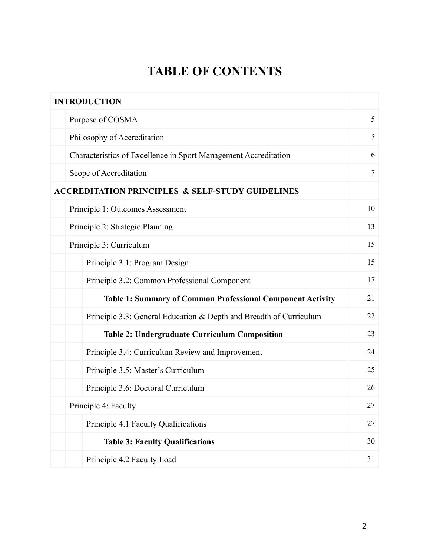# **TABLE OF CONTENTS**

| <b>INTRODUCTION</b>                                             |                                                                    |                |  |  |  |  |  |  |
|-----------------------------------------------------------------|--------------------------------------------------------------------|----------------|--|--|--|--|--|--|
| Purpose of COSMA                                                |                                                                    | 5              |  |  |  |  |  |  |
| Philosophy of Accreditation                                     |                                                                    |                |  |  |  |  |  |  |
| Characteristics of Excellence in Sport Management Accreditation |                                                                    | 6              |  |  |  |  |  |  |
| Scope of Accreditation                                          |                                                                    | $\overline{7}$ |  |  |  |  |  |  |
| <b>ACCREDITATION PRINCIPLES &amp; SELF-STUDY GUIDELINES</b>     |                                                                    |                |  |  |  |  |  |  |
| Principle 1: Outcomes Assessment                                |                                                                    | 10             |  |  |  |  |  |  |
| Principle 2: Strategic Planning                                 |                                                                    |                |  |  |  |  |  |  |
| Principle 3: Curriculum                                         |                                                                    |                |  |  |  |  |  |  |
| Principle 3.1: Program Design                                   |                                                                    |                |  |  |  |  |  |  |
|                                                                 | Principle 3.2: Common Professional Component                       |                |  |  |  |  |  |  |
|                                                                 | <b>Table 1: Summary of Common Professional Component Activity</b>  | 21             |  |  |  |  |  |  |
|                                                                 | Principle 3.3: General Education & Depth and Breadth of Curriculum | 22             |  |  |  |  |  |  |
|                                                                 | <b>Table 2: Undergraduate Curriculum Composition</b>               | 23             |  |  |  |  |  |  |
| Principle 3.4: Curriculum Review and Improvement                |                                                                    | 24             |  |  |  |  |  |  |
| Principle 3.5: Master's Curriculum                              |                                                                    | 25             |  |  |  |  |  |  |
| Principle 3.6: Doctoral Curriculum                              |                                                                    | 26             |  |  |  |  |  |  |
| Principle 4: Faculty                                            |                                                                    |                |  |  |  |  |  |  |
|                                                                 | Principle 4.1 Faculty Qualifications                               |                |  |  |  |  |  |  |
| <b>Table 3: Faculty Qualifications</b>                          |                                                                    | 30             |  |  |  |  |  |  |
| Principle 4.2 Faculty Load                                      |                                                                    | 31             |  |  |  |  |  |  |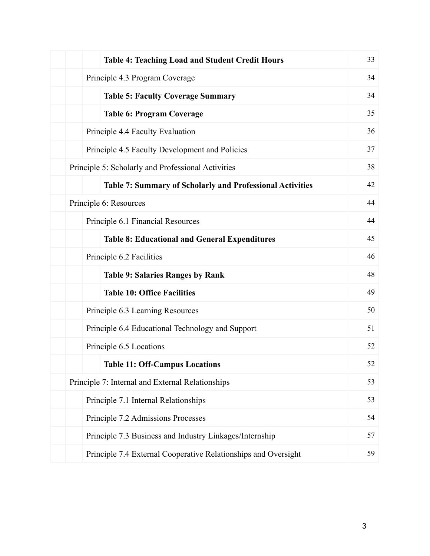| <b>Table 4: Teaching Load and Student Credit Hours</b>           | 33 |  |  |  |  |  |
|------------------------------------------------------------------|----|--|--|--|--|--|
| Principle 4.3 Program Coverage                                   | 34 |  |  |  |  |  |
| <b>Table 5: Faculty Coverage Summary</b>                         | 34 |  |  |  |  |  |
| <b>Table 6: Program Coverage</b>                                 | 35 |  |  |  |  |  |
| Principle 4.4 Faculty Evaluation                                 | 36 |  |  |  |  |  |
| Principle 4.5 Faculty Development and Policies                   | 37 |  |  |  |  |  |
| Principle 5: Scholarly and Professional Activities               | 38 |  |  |  |  |  |
| <b>Table 7: Summary of Scholarly and Professional Activities</b> | 42 |  |  |  |  |  |
| Principle 6: Resources                                           | 44 |  |  |  |  |  |
| Principle 6.1 Financial Resources                                | 44 |  |  |  |  |  |
| <b>Table 8: Educational and General Expenditures</b>             | 45 |  |  |  |  |  |
| Principle 6.2 Facilities                                         | 46 |  |  |  |  |  |
| <b>Table 9: Salaries Ranges by Rank</b>                          | 48 |  |  |  |  |  |
| <b>Table 10: Office Facilities</b>                               | 49 |  |  |  |  |  |
| Principle 6.3 Learning Resources                                 | 50 |  |  |  |  |  |
| Principle 6.4 Educational Technology and Support                 | 51 |  |  |  |  |  |
| Principle 6.5 Locations                                          | 52 |  |  |  |  |  |
| <b>Table 11: Off-Campus Locations</b>                            | 52 |  |  |  |  |  |
| Principle 7: Internal and External Relationships                 | 53 |  |  |  |  |  |
| Principle 7.1 Internal Relationships                             |    |  |  |  |  |  |
| Principle 7.2 Admissions Processes                               | 54 |  |  |  |  |  |
| Principle 7.3 Business and Industry Linkages/Internship          | 57 |  |  |  |  |  |
| Principle 7.4 External Cooperative Relationships and Oversight   | 59 |  |  |  |  |  |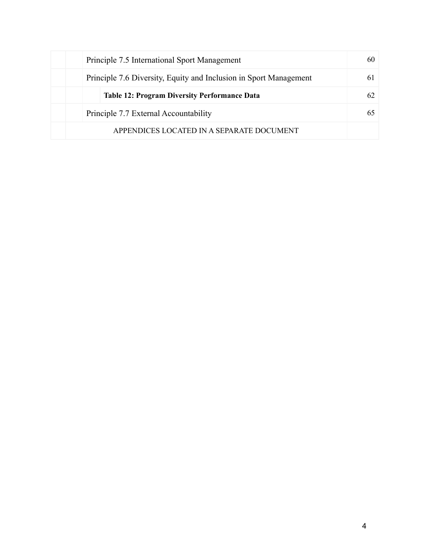| Principle 7.5 International Sport Management                      |    |  |  |  |  |  |
|-------------------------------------------------------------------|----|--|--|--|--|--|
| Principle 7.6 Diversity, Equity and Inclusion in Sport Management |    |  |  |  |  |  |
| <b>Table 12: Program Diversity Performance Data</b>               | 62 |  |  |  |  |  |
| Principle 7.7 External Accountability                             |    |  |  |  |  |  |
| APPENDICES LOCATED IN A SEPARATE DOCUMENT                         |    |  |  |  |  |  |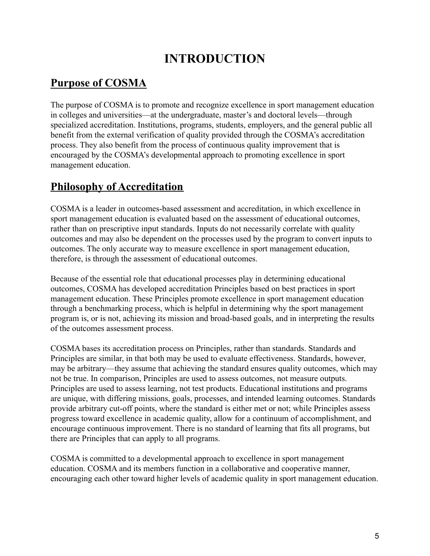# **INTRODUCTION**

# **Purpose of COSMA**

The purpose of COSMA is to promote and recognize excellence in sport management education in colleges and universities—at the undergraduate, master's and doctoral levels—through specialized accreditation. Institutions, programs, students, employers, and the general public all benefit from the external verification of quality provided through the COSMA's accreditation process. They also benefit from the process of continuous quality improvement that is encouraged by the COSMA's developmental approach to promoting excellence in sport management education.

## **Philosophy of Accreditation**

COSMA is a leader in outcomes-based assessment and accreditation, in which excellence in sport management education is evaluated based on the assessment of educational outcomes, rather than on prescriptive input standards. Inputs do not necessarily correlate with quality outcomes and may also be dependent on the processes used by the program to convert inputs to outcomes. The only accurate way to measure excellence in sport management education, therefore, is through the assessment of educational outcomes.

Because of the essential role that educational processes play in determining educational outcomes, COSMA has developed accreditation Principles based on best practices in sport management education. These Principles promote excellence in sport management education through a benchmarking process, which is helpful in determining why the sport management program is, or is not, achieving its mission and broad-based goals, and in interpreting the results of the outcomes assessment process.

COSMA bases its accreditation process on Principles, rather than standards. Standards and Principles are similar, in that both may be used to evaluate effectiveness. Standards, however, may be arbitrary—they assume that achieving the standard ensures quality outcomes, which may not be true. In comparison, Principles are used to assess outcomes, not measure outputs. Principles are used to assess learning, not test products. Educational institutions and programs are unique, with differing missions, goals, processes, and intended learning outcomes. Standards provide arbitrary cut-off points, where the standard is either met or not; while Principles assess progress toward excellence in academic quality, allow for a continuum of accomplishment, and encourage continuous improvement. There is no standard of learning that fits all programs, but there are Principles that can apply to all programs.

COSMA is committed to a developmental approach to excellence in sport management education. COSMA and its members function in a collaborative and cooperative manner, encouraging each other toward higher levels of academic quality in sport management education.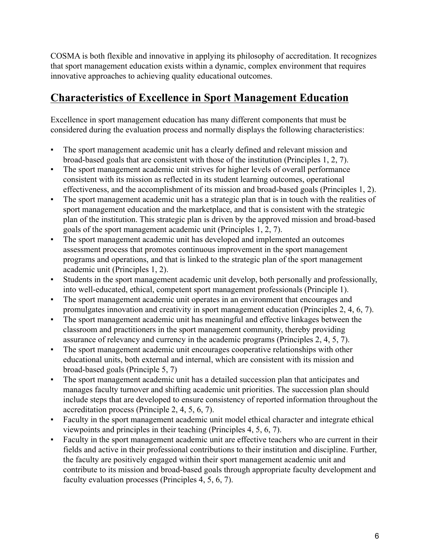COSMA is both flexible and innovative in applying its philosophy of accreditation. It recognizes that sport management education exists within a dynamic, complex environment that requires innovative approaches to achieving quality educational outcomes.

# **Characteristics of Excellence in Sport Management Education**

Excellence in sport management education has many different components that must be considered during the evaluation process and normally displays the following characteristics:

- The sport management academic unit has a clearly defined and relevant mission and broad-based goals that are consistent with those of the institution (Principles 1, 2, 7).
- The sport management academic unit strives for higher levels of overall performance consistent with its mission as reflected in its student learning outcomes, operational effectiveness, and the accomplishment of its mission and broad-based goals (Principles 1, 2).
- The sport management academic unit has a strategic plan that is in touch with the realities of sport management education and the marketplace, and that is consistent with the strategic plan of the institution. This strategic plan is driven by the approved mission and broad-based goals of the sport management academic unit (Principles 1, 2, 7).
- The sport management academic unit has developed and implemented an outcomes assessment process that promotes continuous improvement in the sport management programs and operations, and that is linked to the strategic plan of the sport management academic unit (Principles 1, 2).
- Students in the sport management academic unit develop, both personally and professionally, into well-educated, ethical, competent sport management professionals (Principle 1).
- The sport management academic unit operates in an environment that encourages and promulgates innovation and creativity in sport management education (Principles 2, 4, 6, 7).
- The sport management academic unit has meaningful and effective linkages between the classroom and practitioners in the sport management community, thereby providing assurance of relevancy and currency in the academic programs (Principles 2, 4, 5, 7).
- The sport management academic unit encourages cooperative relationships with other educational units, both external and internal, which are consistent with its mission and broad-based goals (Principle 5, 7)
- The sport management academic unit has a detailed succession plan that anticipates and manages faculty turnover and shifting academic unit priorities. The succession plan should include steps that are developed to ensure consistency of reported information throughout the accreditation process (Principle 2, 4, 5, 6, 7).
- Faculty in the sport management academic unit model ethical character and integrate ethical viewpoints and principles in their teaching (Principles 4, 5, 6, 7).
- Faculty in the sport management academic unit are effective teachers who are current in their fields and active in their professional contributions to their institution and discipline. Further, the faculty are positively engaged within their sport management academic unit and contribute to its mission and broad-based goals through appropriate faculty development and faculty evaluation processes (Principles 4, 5, 6, 7).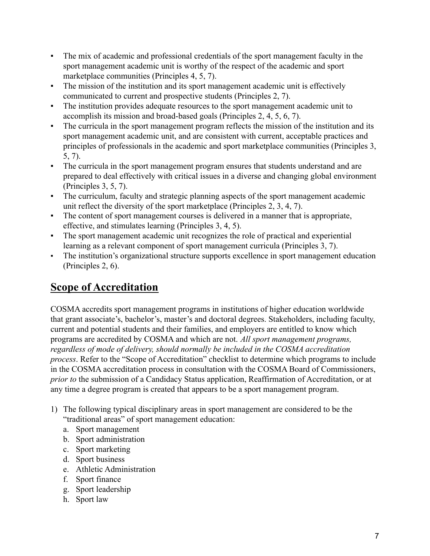- The mix of academic and professional credentials of the sport management faculty in the sport management academic unit is worthy of the respect of the academic and sport marketplace communities (Principles 4, 5, 7).
- The mission of the institution and its sport management academic unit is effectively communicated to current and prospective students (Principles 2, 7).
- The institution provides adequate resources to the sport management academic unit to accomplish its mission and broad-based goals (Principles 2, 4, 5, 6, 7).
- The curricula in the sport management program reflects the mission of the institution and its sport management academic unit, and are consistent with current, acceptable practices and principles of professionals in the academic and sport marketplace communities (Principles 3, 5, 7).
- The curricula in the sport management program ensures that students understand and are prepared to deal effectively with critical issues in a diverse and changing global environment (Principles 3, 5, 7).
- The curriculum, faculty and strategic planning aspects of the sport management academic unit reflect the diversity of the sport marketplace (Principles 2, 3, 4, 7).
- The content of sport management courses is delivered in a manner that is appropriate, effective, and stimulates learning (Principles 3, 4, 5).
- The sport management academic unit recognizes the role of practical and experiential learning as a relevant component of sport management curricula (Principles 3, 7).
- The institution's organizational structure supports excellence in sport management education (Principles 2, 6).

# **Scope of Accreditation**

COSMA accredits sport management programs in institutions of higher education worldwide that grant associate's, bachelor's, master's and doctoral degrees. Stakeholders, including faculty, current and potential students and their families, and employers are entitled to know which programs are accredited by COSMA and which are not. *All sport management programs, regardless of mode of delivery, should normally be included in the COSMA accreditation process*. Refer to the "Scope of Accreditation" checklist to determine which programs to include in the COSMA accreditation process in consultation with the COSMA Board of Commissioners, *prior to* the submission of a Candidacy Status application, Reaffirmation of Accreditation, or at any time a degree program is created that appears to be a sport management program.

- 1) The following typical disciplinary areas in sport management are considered to be the "traditional areas" of sport management education:
	- a. Sport management
	- b. Sport administration
	- c. Sport marketing
	- d. Sport business
	- e. Athletic Administration
	- f. Sport finance
	- g. Sport leadership
	- h. Sport law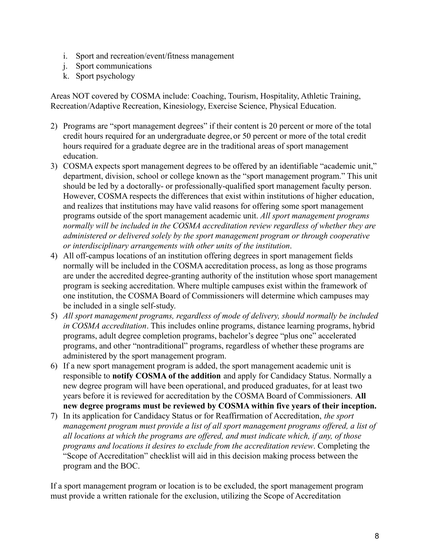- i. Sport and recreation/event/fitness management
- j. Sport communications
- k. Sport psychology

Areas NOT covered by COSMA include: Coaching, Tourism, Hospitality, Athletic Training, Recreation/Adaptive Recreation, Kinesiology, Exercise Science, Physical Education.

- 2) Programs are "sport management degrees" if their content is 20 percent or more of the total credit hours required for an undergraduate degree, or 50 percent or more of the total credit hours required for a graduate degree are in the traditional areas of sport management education.
- 3) COSMA expects sport management degrees to be offered by an identifiable "academic unit," department, division, school or college known as the "sport management program." This unit should be led by a doctorally- or professionally-qualified sport management faculty person. However, COSMA respects the differences that exist within institutions of higher education, and realizes that institutions may have valid reasons for offering some sport management programs outside of the sport management academic unit. *All sport management programs normally will be included in the COSMA accreditation review regardless of whether they are administered or delivered solely by the sport management program or through cooperative or interdisciplinary arrangements with other units of the institution*.
- 4) All off-campus locations of an institution offering degrees in sport management fields normally will be included in the COSMA accreditation process, as long as those programs are under the accredited degree-granting authority of the institution whose sport management program is seeking accreditation. Where multiple campuses exist within the framework of one institution, the COSMA Board of Commissioners will determine which campuses may be included in a single self-study.
- 5) *All sport management programs, regardless of mode of delivery, should normally be included in COSMA accreditation*. This includes online programs, distance learning programs, hybrid programs, adult degree completion programs, bachelor's degree "plus one" accelerated programs, and other "nontraditional" programs, regardless of whether these programs are administered by the sport management program.
- 6) If a new sport management program is added, the sport management academic unit is responsible to **notify COSMA of the addition** and apply for Candidacy Status. Normally a new degree program will have been operational, and produced graduates, for at least two years before it is reviewed for accreditation by the COSMA Board of Commissioners. **All new degree programs must be reviewed by COSMA within five years of their inception.**
- 7) In its application for Candidacy Status or for Reaffirmation of Accreditation, *the sport management program must provide a list of all sport management programs offered, a list of all locations at which the programs are offered, and must indicate which, if any, of those programs and locations it desires to exclude from the accreditation review*. Completing the "Scope of Accreditation" checklist will aid in this decision making process between the program and the BOC.

If a sport management program or location is to be excluded, the sport management program must provide a written rationale for the exclusion, utilizing the Scope of Accreditation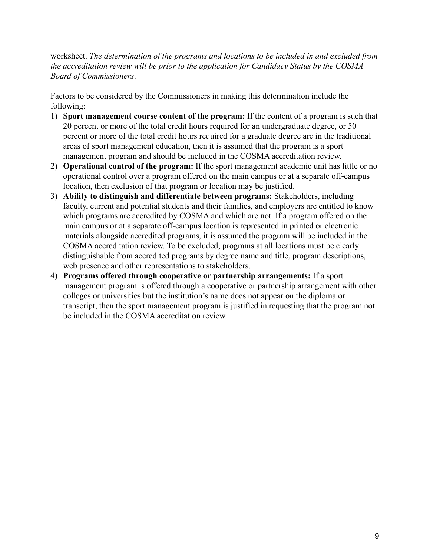worksheet. *The determination of the programs and locations to be included in and excluded from the accreditation review will be prior to the application for Candidacy Status by the COSMA Board of Commissioners*.

Factors to be considered by the Commissioners in making this determination include the following:

- 1) **Sport management course content of the program:** If the content of a program is such that 20 percent or more of the total credit hours required for an undergraduate degree, or 50 percent or more of the total credit hours required for a graduate degree are in the traditional areas of sport management education, then it is assumed that the program is a sport management program and should be included in the COSMA accreditation review.
- 2) **Operational control of the program:** If the sport management academic unit has little or no operational control over a program offered on the main campus or at a separate off-campus location, then exclusion of that program or location may be justified.
- 3) **Ability to distinguish and differentiate between programs:** Stakeholders, including faculty, current and potential students and their families, and employers are entitled to know which programs are accredited by COSMA and which are not. If a program offered on the main campus or at a separate off-campus location is represented in printed or electronic materials alongside accredited programs, it is assumed the program will be included in the COSMA accreditation review. To be excluded, programs at all locations must be clearly distinguishable from accredited programs by degree name and title, program descriptions, web presence and other representations to stakeholders.
- 4) **Programs offered through cooperative or partnership arrangements:** If a sport management program is offered through a cooperative or partnership arrangement with other colleges or universities but the institution's name does not appear on the diploma or transcript, then the sport management program is justified in requesting that the program not be included in the COSMA accreditation review.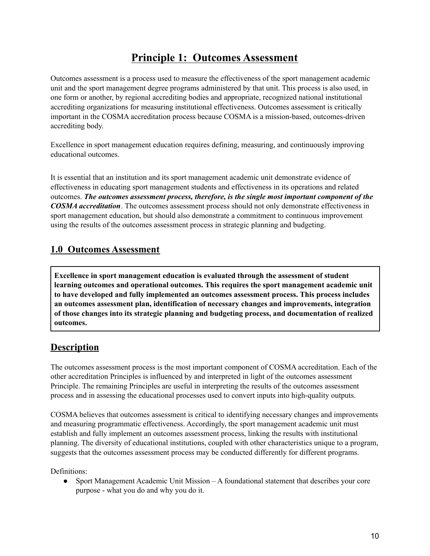# **Principle 1: Outcomes Assessment**

Outcomes assessment is a process used to measure the effectiveness of the sport management academic unit and the sport management degree programs administered by that unit. This process is also used, in one form or another, by regional accrediting bodies and appropriate, recognized national institutional accrediting organizations for measuring institutional effectiveness. Outcomes assessment is critically important in the COSMA accreditation process because COSMA is a mission-based, outcomes-driven accrediting body.

Excellence in sport management education requires defining, measuring, and continuously improving educational outcomes.

It is essential that an institution and its sport management academic unit demonstrate evidence of effectiveness in educating sport management students and effectiveness in its operations and related outcomes. *The outcomes assessment process, therefore, is the single most important component of the COSMA accreditation*. The outcomes assessment process should not only demonstrate effectiveness in sport management education, but should also demonstrate a commitment to continuous improvement using the results of the outcomes assessment process in strategic planning and budgeting.

#### **1.0 Outcomes Assessment**

**Excellence in sport management education is evaluated through the assessment of student learning outcomes and operational outcomes. This requires the sport management academic unit to have developed and fully implemented an outcomes assessment process. This process includes an outcomes assessment plan, identification of necessary changes and improvements, integration of those changes into its strategic planning and budgeting process, and documentation of realized outcomes.**

#### **Description**

The outcomes assessment process is the most important component of COSMA accreditation. Each of the other accreditation Principles is influenced by and interpreted in light of the outcomes assessment Principle. The remaining Principles are useful in interpreting the results of the outcomes assessment process and in assessing the educational processes used to convert inputs into high-quality outputs.

COSMA believes that outcomes assessment is critical to identifying necessary changes and improvements and measuring programmatic effectiveness. Accordingly, the sport management academic unit must establish and fully implement an outcomes assessment process, linking the results with institutional planning. The diversity of educational institutions, coupled with other characteristics unique to a program, suggests that the outcomes assessment process may be conducted differently for different programs.

Definitions:

• Sport Management Academic Unit Mission – A foundational statement that describes your core purpose - what you do and why you do it.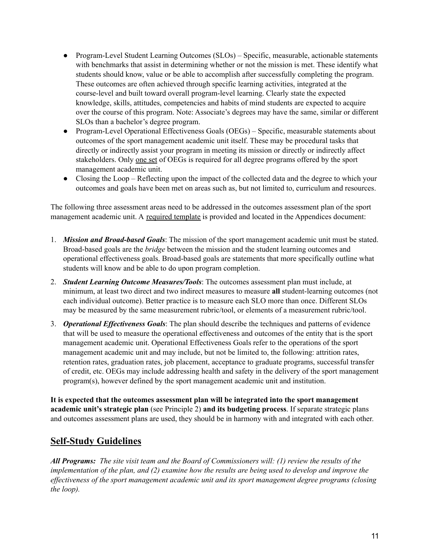- Program-Level Student Learning Outcomes (SLOs) Specific, measurable, actionable statements with benchmarks that assist in determining whether or not the mission is met. These identify what students should know, value or be able to accomplish after successfully completing the program. These outcomes are often achieved through specific learning activities, integrated at the course-level and built toward overall program-level learning. Clearly state the expected knowledge, skills, attitudes, competencies and habits of mind students are expected to acquire over the course of this program. Note: Associate's degrees may have the same, similar or different SLOs than a bachelor's degree program.
- Program-Level Operational Effectiveness Goals (OEGs) Specific, measurable statements about outcomes of the sport management academic unit itself. These may be procedural tasks that directly or indirectly assist your program in meeting its mission or directly or indirectly affect stakeholders. Only one set of OEGs is required for all degree programs offered by the sport management academic unit.
- Closing the Loop Reflecting upon the impact of the collected data and the degree to which your outcomes and goals have been met on areas such as, but not limited to, curriculum and resources.

The following three assessment areas need to be addressed in the outcomes assessment plan of the sport management academic unit. A required template is provided and located in the Appendices document:

- 1. *Mission and Broad-based Goals*: The mission of the sport management academic unit must be stated. Broad-based goals are the *bridge* between the mission and the student learning outcomes and operational effectiveness goals. Broad-based goals are statements that more specifically outline what students will know and be able to do upon program completion.
- 2. *Student Learning Outcome Measures/Tools*: The outcomes assessment plan must include, at minimum, at least two direct and two indirect measures to measure **all** student-learning outcomes (not each individual outcome). Better practice is to measure each SLO more than once. Different SLOs may be measured by the same measurement rubric/tool, or elements of a measurement rubric/tool.
- 3. *Operational Ef ectiveness Goals*: The plan should describe the techniques and patterns of evidence that will be used to measure the operational effectiveness and outcomes of the entity that is the sport management academic unit. Operational Effectiveness Goals refer to the operations of the sport management academic unit and may include, but not be limited to, the following: attrition rates, retention rates, graduation rates, job placement, acceptance to graduate programs, successful transfer of credit, etc. OEGs may include addressing health and safety in the delivery of the sport management program(s), however defined by the sport management academic unit and institution.

**It is expected that the outcomes assessment plan will be integrated into the sport management academic unit's strategic plan** (see Principle 2) **and its budgeting process**. If separate strategic plans and outcomes assessment plans are used, they should be in harmony with and integrated with each other.

#### **Self-Study Guidelines**

**All Programs:** The site visit team and the Board of Commissioners will: (1) review the results of the implementation of the plan, and (2) examine how the results are being used to develop and improve the *ef ectiveness of the sport management academic unit and its sport management degree programs (closing the loop).*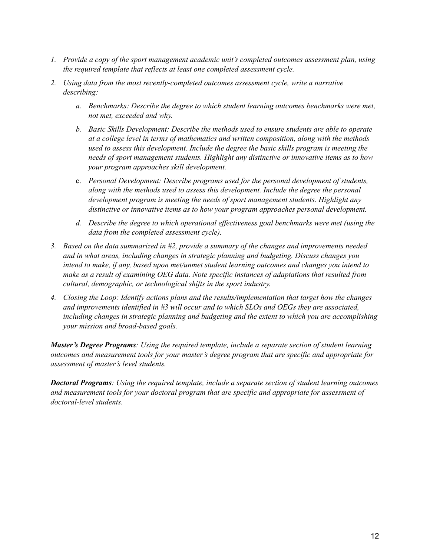- *1. Provide a copy of the sport management academic unit's completed outcomes assessment plan, using the required template that reflects at least one completed assessment cycle.*
- *2. Using data from the most recently-completed outcomes assessment cycle, write a narrative describing:*
	- *a. Benchmarks: Describe the degree to which student learning outcomes benchmarks were met, not met, exceeded and why.*
	- *b. Basic Skills Development: Describe the methods used to ensure students are able to operate at a college level in terms of mathematics and written composition, along with the methods used to assess this development. Include the degree the basic skills program is meeting the needs of sport management students. Highlight any distinctive or innovative items as to how your program approaches skill development.*
	- c. *Personal Development: Describe programs used for the personal development of students, along with the methods used to assess this development. Include the degree the personal development program is meeting the needs of sport management students. Highlight any distinctive or innovative items as to how your program approaches personal development.*
	- *d. Describe the degree to which operational ef ectiveness goal benchmarks were met (using the data from the completed assessment cycle).*
- *3. Based on the data summarized in #2, provide a summary of the changes and improvements needed and in what areas, including changes in strategic planning and budgeting. Discuss changes you intend to make, if any, based upon met/unmet student learning outcomes and changes you intend to make as a result of examining OEG data. Note specific instances of adaptations that resulted from cultural, demographic, or technological shifts in the sport industry.*
- *4. Closing the Loop: Identify actions plans and the results/implementation that target how the changes and improvements identified in #3 will occur and to which SLOs and OEGs they are associated, including changes in strategic planning and budgeting and the extent to which you are accomplishing your mission and broad-based goals.*

*Master's Degree Programs: Using the required template, include a separate section of student learning outcomes and measurement tools for your master's degree program that are specific and appropriate for assessment of master's level students.*

*Doctoral Programs: Using the required template, include a separate section of student learning outcomes and measurement tools for your doctoral program that are specific and appropriate for assessment of doctoral-level students.*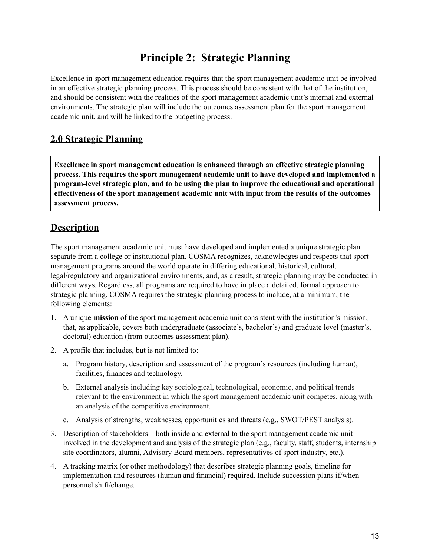# **Principle 2: Strategic Planning**

Excellence in sport management education requires that the sport management academic unit be involved in an effective strategic planning process. This process should be consistent with that of the institution, and should be consistent with the realities of the sport management academic unit's internal and external environments. The strategic plan will include the outcomes assessment plan for the sport management academic unit, and will be linked to the budgeting process.

#### **2.0 Strategic Planning**

**Excellence in sport management education is enhanced through an effective strategic planning process. This requires the sport management academic unit to have developed and implemented a program-level strategic plan, and to be using the plan to improve the educational and operational effectiveness of the sport management academic unit with input from the results of the outcomes assessment process.**

### **Description**

The sport management academic unit must have developed and implemented a unique strategic plan separate from a college or institutional plan. COSMA recognizes, acknowledges and respects that sport management programs around the world operate in differing educational, historical, cultural, legal/regulatory and organizational environments, and, as a result, strategic planning may be conducted in different ways. Regardless, all programs are required to have in place a detailed, formal approach to strategic planning. COSMA requires the strategic planning process to include, at a minimum, the following elements:

- 1. A unique **mission** of the sport management academic unit consistent with the institution's mission, that, as applicable, covers both undergraduate (associate's, bachelor's) and graduate level (master's, doctoral) education (from outcomes assessment plan).
- 2. A profile that includes, but is not limited to:
	- a. Program history, description and assessment of the program's resources (including human), facilities, finances and technology.
	- b. External analysis including key sociological, technological, economic, and political trends relevant to the environment in which the sport management academic unit competes, along with an analysis of the competitive environment.
	- c. Analysis of strengths, weaknesses, opportunities and threats (e.g., SWOT/PEST analysis).
- 3. Description of stakeholders both inside and external to the sport management academic unit involved in the development and analysis of the strategic plan (e.g., faculty, staff, students, internship site coordinators, alumni, Advisory Board members, representatives of sport industry, etc.).
- 4. A tracking matrix (or other methodology) that describes strategic planning goals, timeline for implementation and resources (human and financial) required. Include succession plans if/when personnel shift/change.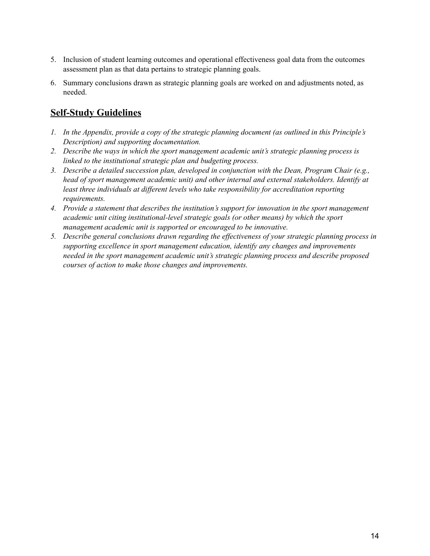- 5. Inclusion of student learning outcomes and operational effectiveness goal data from the outcomes assessment plan as that data pertains to strategic planning goals.
- 6. Summary conclusions drawn as strategic planning goals are worked on and adjustments noted, as needed.

- *1. In the Appendix, provide a copy of the strategic planning document (as outlined in this Principle's Description) and supporting documentation.*
- *2. Describe the ways in which the sport management academic unit's strategic planning process is linked to the institutional strategic plan and budgeting process.*
- *3. Describe a detailed succession plan, developed in conjunction with the Dean, Program Chair (e.g., head of sport management academic unit) and other internal and external stakeholders. Identify at least three individuals at dif erent levels who take responsibility for accreditation reporting requirements.*
- *4. Provide a statement that describes the institution's support for innovation in the sport management academic unit citing institutional-level strategic goals (or other means) by which the sport management academic unit is supported or encouraged to be innovative.*
- *5. Describe general conclusions drawn regarding the ef ectiveness of your strategic planning process in supporting excellence in sport management education, identify any changes and improvements needed in the sport management academic unit's strategic planning process and describe proposed courses of action to make those changes and improvements.*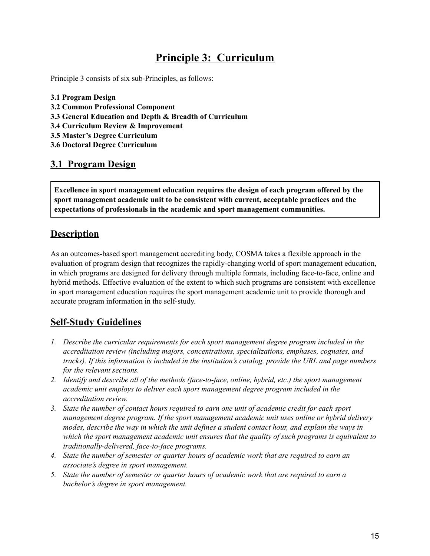# **Principle 3: Curriculum**

Principle 3 consists of six sub-Principles, as follows:

- **3.1 Program Design 3.2 Common Professional Component 3.3 General Education and Depth & Breadth of Curriculum 3.4 Curriculum Review & Improvement**
- **3.5 Master's Degree Curriculum**
- **3.6 Doctoral Degree Curriculum**

#### **3.1 Program Design**

**Excellence in sport management education requires the design of each program offered by the sport management academic unit to be consistent with current, acceptable practices and the expectations of professionals in the academic and sport management communities.**

#### **Description**

As an outcomes-based sport management accrediting body, COSMA takes a flexible approach in the evaluation of program design that recognizes the rapidly-changing world of sport management education, in which programs are designed for delivery through multiple formats, including face-to-face, online and hybrid methods. Effective evaluation of the extent to which such programs are consistent with excellence in sport management education requires the sport management academic unit to provide thorough and accurate program information in the self-study.

- *1. Describe the curricular requirements for each sport management degree program included in the accreditation review (including majors, concentrations, specializations, emphases, cognates, and tracks). If this information is included in the institution's catalog, provide the URL and page numbers for the relevant sections.*
- *2. Identify and describe all of the methods (face-to-face, online, hybrid, etc.) the sport management academic unit employs to deliver each sport management degree program included in the accreditation review.*
- *3. State the number of contact hours required to earn one unit of academic credit for each sport management degree program. If the sport management academic unit uses online or hybrid delivery modes, describe the way in which the unit defines a student contact hour, and explain the ways in which the sport management academic unit ensures that the quality of such programs is equivalent to traditionally-delivered, face-to-face programs.*
- *4. State the number of semester or quarter hours of academic work that are required to earn an associate's degree in sport management.*
- *5. State the number of semester or quarter hours of academic work that are required to earn a bachelor's degree in sport management.*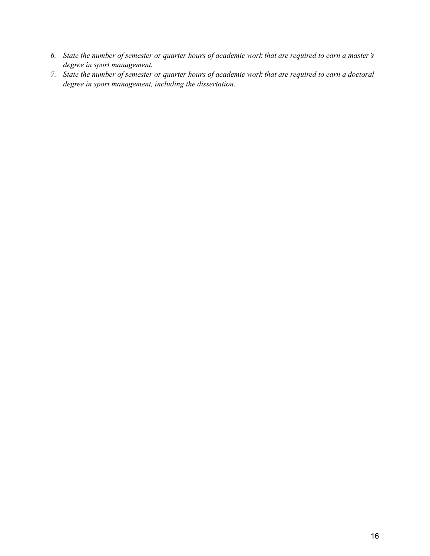- 6. State the number of semester or quarter hours of academic work that are required to earn a master's *degree in sport management.*
- 7. State the number of semester or quarter hours of academic work that are required to earn a doctoral *degree in sport management, including the dissertation.*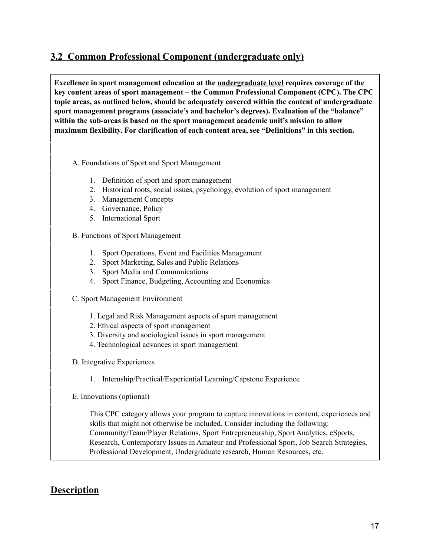#### **3.2 Common Professional Component (undergraduate only)**

**Excellence in sport management education at the undergraduate level requires coverage of the key content areas of sport management – the Common Professional Component (CPC). The CPC topic areas, as outlined below, should be adequately covered within the content of undergraduate sport management programs (associate's and bachelor's degrees). Evaluation of the "balance" within the sub-areas is based on the sport management academic unit's mission to allow maximum flexibility. For clarification of each content area, see "Definitions" in this section.**

A. Foundations of Sport and Sport Management

- 1. Definition of sport and sport management
- 2. Historical roots, social issues, psychology, evolution of sport management
- 3. Management Concepts
- 4. Governance, Policy
- 5. International Sport

B. Functions of Sport Management

- 1. Sport Operations, Event and Facilities Management
- 2. Sport Marketing, Sales and Public Relations
- 3. Sport Media and Communications
- 4. Sport Finance, Budgeting, Accounting and Economics
- C. Sport Management Environment
	- 1. Legal and Risk Management aspects of sport management
	- 2. Ethical aspects of sport management
	- 3. Diversity and sociological issues in sport management
	- 4. Technological advances in sport management
- D. Integrative Experiences
	- 1. Internship/Practical/Experiential Learning/Capstone Experience

E. Innovations (optional)

This CPC category allows your program to capture innovations in content, experiences and skills that might not otherwise be included. Consider including the following: Community/Team/Player Relations, Sport Entrepreneurship, Sport Analytics, eSports, Research, Contemporary Issues in Amateur and Professional Sport, Job Search Strategies, Professional Development, Undergraduate research, Human Resources, etc.

#### **Description**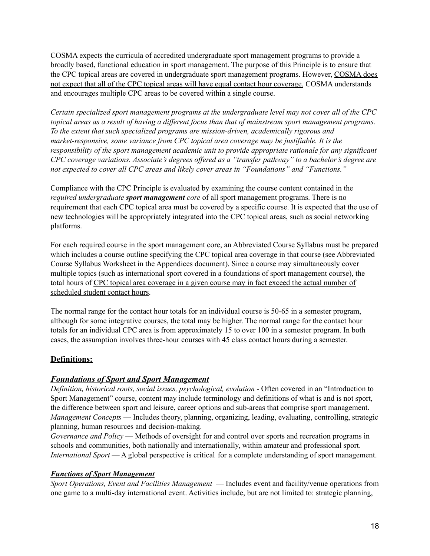COSMA expects the curricula of accredited undergraduate sport management programs to provide a broadly based, functional education in sport management. The purpose of this Principle is to ensure that the CPC topical areas are covered in undergraduate sport management programs. However, COSMA does not expect that all of the CPC topical areas will have equal contact hour coverage. COSMA understands and encourages multiple CPC areas to be covered within a single course.

*Certain specialized sport management programs at the undergraduate level may not cover all of the CPC* topical areas as a result of having a different focus than that of mainstream sport management programs. *To the extent that such specialized programs are mission-driven, academically rigorous and market-responsive, some variance from CPC topical area coverage may be justifiable. It is the responsibility of the sport management academic unit to provide appropriate rationale for any significant CPC coverage variations. Associate's degrees of ered as a "transfer pathway" to a bachelor's degree are not expected to cover all CPC areas and likely cover areas in "Foundations" and "Functions."*

Compliance with the CPC Principle is evaluated by examining the course content contained in the *required undergraduate sport management core* of all sport management programs. There is no requirement that each CPC topical area must be covered by a specific course. It is expected that the use of new technologies will be appropriately integrated into the CPC topical areas, such as social networking platforms.

For each required course in the sport management core, an Abbreviated Course Syllabus must be prepared which includes a course outline specifying the CPC topical area coverage in that course (see Abbreviated Course Syllabus Worksheet in the Appendices document). Since a course may simultaneously cover multiple topics (such as international sport covered in a foundations of sport management course), the total hours of CPC topical area coverage in a given course may in fact exceed the actual number of scheduled student contact hours.

The normal range for the contact hour totals for an individual course is 50-65 in a semester program, although for some integrative courses, the total may be higher. The normal range for the contact hour totals for an individual CPC area is from approximately 15 to over 100 in a semester program. In both cases, the assumption involves three-hour courses with 45 class contact hours during a semester.

#### **Definitions:**

#### *Foundations of Sport and Sport Management*

*Definition, historical roots, social issues, psychological, evolution -* Often covered in an "Introduction to Sport Management" course, content may include terminology and definitions of what is and is not sport, the difference between sport and leisure, career options and sub-areas that comprise sport management. *Management Concepts* — Includes theory, planning, organizing, leading, evaluating, controlling, strategic planning, human resources and decision-making.

*Governance and Policy* — Methods of oversight for and control over sports and recreation programs in schools and communities, both nationally and internationally, within amateur and professional sport. *International Sport* — A global perspective is critical for a complete understanding of sport management.

#### *Functions of Sport Management*

*Sport Operations, Event and Facilities Management* — Includes event and facility/venue operations from one game to a multi-day international event. Activities include, but are not limited to: strategic planning,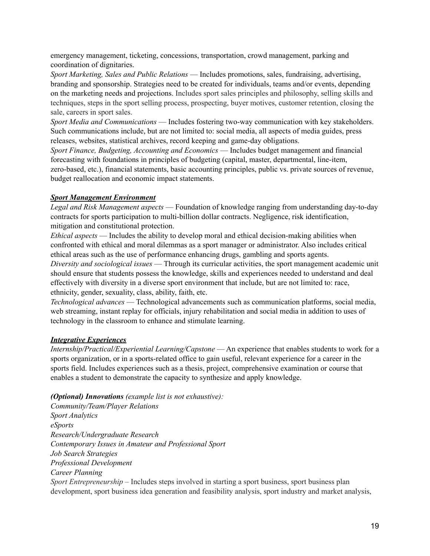emergency management, ticketing, concessions, transportation, crowd management, parking and coordination of dignitaries.

*Sport Marketing, Sales and Public Relations* — Includes promotions, sales, fundraising, advertising, branding and sponsorship. Strategies need to be created for individuals, teams and/or events, depending on the marketing needs and projections. Includes sport sales principles and philosophy, selling skills and techniques, steps in the sport selling process, prospecting, buyer motives, customer retention, closing the sale, careers in sport sales.

*Sport Media and Communications* — Includes fostering two-way communication with key stakeholders. Such communications include, but are not limited to: social media, all aspects of media guides, press releases, websites, statistical archives, record keeping and game-day obligations.

*Sport Finance, Budgeting, Accounting and Economics* — Includes budget management and financial forecasting with foundations in principles of budgeting (capital, master, departmental, line-item, zero-based, etc.), financial statements, basic accounting principles, public vs. private sources of revenue, budget reallocation and economic impact statements.

#### *Sport Management Environment*

*Legal and Risk Management aspects* — Foundation of knowledge ranging from understanding day-to-day contracts for sports participation to multi-billion dollar contracts. Negligence, risk identification, mitigation and constitutional protection.

*Ethical aspects* — Includes the ability to develop moral and ethical decision-making abilities when confronted with ethical and moral dilemmas as a sport manager or administrator. Also includes critical ethical areas such as the use of performance enhancing drugs, gambling and sports agents.

*Diversity and sociological issues* — Through its curricular activities, the sport management academic unit should ensure that students possess the knowledge, skills and experiences needed to understand and deal effectively with diversity in a diverse sport environment that include, but are not limited to: race, ethnicity, gender, sexuality, class, ability, faith, etc.

*Technological advances* — Technological advancements such as communication platforms, social media, web streaming, instant replay for officials, injury rehabilitation and social media in addition to uses of technology in the classroom to enhance and stimulate learning.

#### *Integrative Experiences*

*Internship/Practical/Experiential Learning/Capstone* — An experience that enables students to work for a sports organization, or in a sports-related office to gain useful, relevant experience for a career in the sports field. Includes experiences such as a thesis, project, comprehensive examination or course that enables a student to demonstrate the capacity to synthesize and apply knowledge.

*(Optional) Innovations (example list is not exhaustive):*

*Community/Team/Player Relations Sport Analytics eSports Research/Undergraduate Research Contemporary Issues in Amateur and Professional Sport Job Search Strategies Professional Development Career Planning Sport Entrepreneurship* – Includes steps involved in starting a sport business, sport business plan development, sport business idea generation and feasibility analysis, sport industry and market analysis,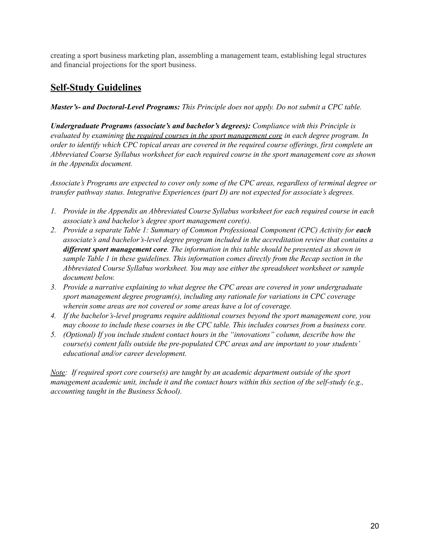creating a sport business marketing plan, assembling a management team, establishing legal structures and financial projections for the sport business.

#### **Self-Study Guidelines**

#### *Master's- and Doctoral-Level Programs: This Principle does not apply. Do not submit a CPC table.*

*Undergraduate Programs (associate's and bachelor's degrees): Compliance with this Principle is evaluated by examining the required courses in the sport management core in each degree program. In* order to identify which CPC topical areas are covered in the required course offerings, first complete an *Abbreviated Course Syllabus worksheet for each required course in the sport management core as shown in the Appendix document.*

*Associate's Programs are expected to cover only some of the CPC areas, regardless of terminal degree or transfer pathway status. Integrative Experiences (part D) are not expected for associate's degrees.*

- *1. Provide in the Appendix an Abbreviated Course Syllabus worksheet for each required course in each associate's and bachelor's degree sport management core(s).*
- *2. Provide a separate Table 1: Summary of Common Professional Component (CPC) Activity for each associate's and bachelor's-level degree program included in the accreditation review that contains a dif erent sport management core. The information in this table should be presented as shown in sample Table 1 in these guidelines. This information comes directly from the Recap section in the Abbreviated Course Syllabus worksheet. You may use either the spreadsheet worksheet or sample document below.*
- *3. Provide a narrative explaining to what degree the CPC areas are covered in your undergraduate sport management degree program(s), including any rationale for variations in CPC coverage wherein some areas are not covered or some areas have a lot of coverage.*
- *4. If the bachelor's-level programs require additional courses beyond the sport management core, you may choose to include these courses in the CPC table. This includes courses from a business core.*
- *5. (Optional) If you include student contact hours in the "innovations" column, describe how the course(s) content falls outside the pre-populated CPC areas and are important to your students' educational and/or career development.*

*Note: If required sport core course(s) are taught by an academic department outside of the sport management academic unit, include it and the contact hours within this section of the self-study (e.g., accounting taught in the Business School).*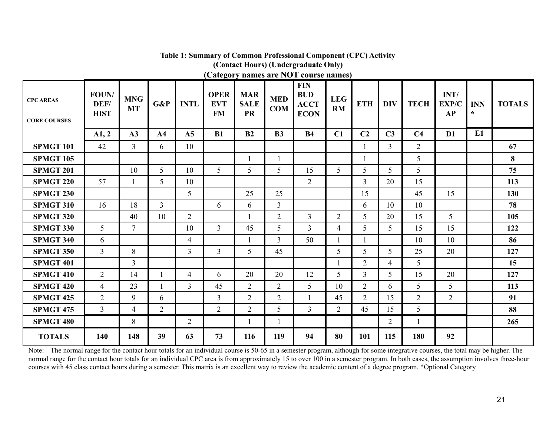| <b>CPC AREAS</b><br><b>CORE COURSES</b> | FOUN/<br>DEF/<br><b>HIST</b> | <b>MNG</b><br><b>MT</b> | G&P            | <b>INTL</b>    | <b>OPER</b><br><b>EVT</b><br><b>FM</b> | <b>MAR</b><br><b>SALE</b><br><b>PR</b> | <b>MED</b><br><b>COM</b> | <b>FIN</b><br><b>BUD</b><br><b>ACCT</b><br><b>ECON</b> | <b>LEG</b><br>RM | <b>ETH</b>     | <b>DIV</b>     | <b>TECH</b>    | INT/<br>EXP/C<br><b>AP</b> | <b>INN</b><br>$\star$ | <b>TOTALS</b> |
|-----------------------------------------|------------------------------|-------------------------|----------------|----------------|----------------------------------------|----------------------------------------|--------------------------|--------------------------------------------------------|------------------|----------------|----------------|----------------|----------------------------|-----------------------|---------------|
|                                         | A1, 2                        | A3                      | A <sub>4</sub> | A <sub>5</sub> | <b>B1</b>                              | B2                                     | B <sub>3</sub>           | <b>B4</b>                                              | C1               | C <sub>2</sub> | C <sub>3</sub> | C <sub>4</sub> | D1                         | E1                    |               |
| <b>SPMGT 101</b>                        | 42                           | $\overline{3}$          | 6              | 10             |                                        |                                        |                          |                                                        |                  |                | $\overline{3}$ | $\overline{2}$ |                            |                       | 67            |
| <b>SPMGT 105</b>                        |                              |                         |                |                |                                        | $\mathbf{1}$                           |                          |                                                        |                  | 1              |                | 5 <sup>5</sup> |                            |                       | 8             |
| <b>SPMGT 201</b>                        |                              | 10                      | 5              | 10             | 5 <sup>5</sup>                         | 5                                      | 5                        | 15                                                     | 5 <sup>5</sup>   | 5              | 5              | 5 <sup>5</sup> |                            |                       | 75            |
| <b>SPMGT 220</b>                        | 57                           | $\mathbf{1}$            | 5              | 10             |                                        |                                        |                          | $\overline{2}$                                         |                  | 3              | 20             | 15             |                            |                       | 113           |
| <b>SPMGT 230</b>                        |                              |                         |                | 5              |                                        | 25                                     | 25                       |                                                        |                  | 15             |                | 45             | 15                         |                       | 130           |
| <b>SPMGT 310</b>                        | 16                           | 18                      | $\overline{3}$ |                | 6                                      | 6                                      | $\overline{3}$           |                                                        |                  | 6              | 10             | 10             |                            |                       | 78            |
| <b>SPMGT 320</b>                        |                              | 40                      | 10             | $\overline{2}$ |                                        | 1                                      | $\overline{2}$           | $\overline{3}$                                         | $\overline{2}$   | 5              | 20             | 15             | 5 <sup>5</sup>             |                       | 105           |
| <b>SPMGT 330</b>                        | 5                            | $\overline{7}$          |                | 10             | $\overline{3}$                         | 45                                     | 5                        | $\overline{3}$                                         | $\overline{4}$   | 5              | 5              | 15             | 15                         |                       | 122           |
| <b>SPMGT 340</b>                        | 6                            |                         |                | $\overline{4}$ |                                        | 1                                      | 3                        | 50                                                     | 1                | 1              |                | 10             | 10                         |                       | 86            |
| <b>SPMGT 350</b>                        | $\overline{3}$               | 8                       |                | $\overline{3}$ | 3                                      | 5                                      | 45                       |                                                        | 5                | 5              | 5 <sup>5</sup> | 25             | 20                         |                       | 127           |
| <b>SPMGT 401</b>                        |                              | $\overline{3}$          |                |                |                                        |                                        |                          |                                                        |                  | $\overline{2}$ | $\overline{4}$ | 5              |                            |                       | 15            |
| <b>SPMGT 410</b>                        | $\overline{2}$               | 14                      |                | $\overline{4}$ | 6                                      | 20                                     | 20                       | 12                                                     | 5                | $\overline{3}$ | 5              | 15             | 20                         |                       | 127           |
| <b>SPMGT 420</b>                        | $\overline{4}$               | 23                      |                | $\overline{3}$ | 45                                     | $\overline{2}$                         | 2                        | 5                                                      | 10               | $\overline{2}$ | 6              | 5              | 5                          |                       | 113           |
| <b>SPMGT 425</b>                        | $\overline{2}$               | 9                       | 6              |                | $\overline{3}$                         | $\overline{2}$                         | 2                        |                                                        | 45               | $\overline{2}$ | 15             | $\overline{2}$ | $\overline{2}$             |                       | 91            |
| <b>SPMGT 475</b>                        | $\overline{3}$               | $\overline{4}$          | $\overline{2}$ |                | 2                                      | 2                                      | 5                        | $\overline{3}$                                         | 2                | 45             | 15             | 5              |                            |                       | 88            |
| <b>SPMGT 480</b>                        |                              | 8                       |                | 2              |                                        |                                        |                          |                                                        |                  |                | $\overline{2}$ |                |                            |                       | 265           |
| <b>TOTALS</b>                           | 140                          | 148                     | 39             | 63             | 73                                     | 116                                    | 119                      | 94                                                     | 80               | 101            | 115            | 180            | 92                         |                       |               |

#### **Table 1: Summary of Common Professional Component (CPC) Activity (Contact Hours) (Undergraduate Only) (Category names are NOT course names)**

Note: The normal range for the contact hour totals for an individual course is 50-65 in a semester program, although for some integrative courses, the total may be higher. The normal range for the contact hour totals for an individual CPC area is from approximately 15 to over 100 in a semester program. In both cases, the assumption involves three-hour courses with 45 class contact hours during a semester. This matrix is an excellent way to review the academic content of a degree program. \*Optional Category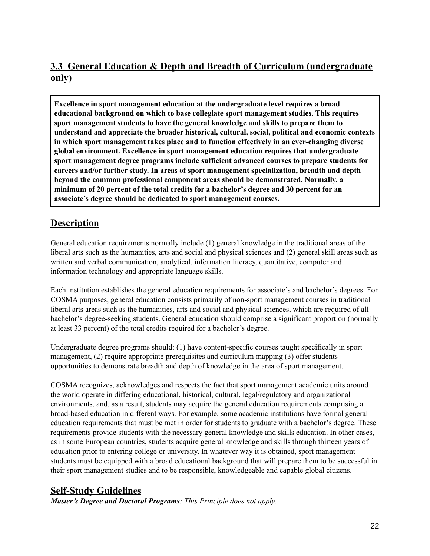## **3.3 General Education & Depth and Breadth of Curriculum (undergraduate only)**

**Excellence in sport management education at the undergraduate level requires a broad educational background on which to base collegiate sport management studies. This requires sport management students to have the general knowledge and skills to prepare them to understand and appreciate the broader historical, cultural, social, political and economic contexts in which sport management takes place and to function effectively in an ever-changing diverse global environment. Excellence in sport management education requires that undergraduate sport management degree programs include sufficient advanced courses to prepare students for careers and/or further study. In areas of sport management specialization, breadth and depth beyond the common professional component areas should be demonstrated. Normally, a minimum of 20 percent of the total credits for a bachelor's degree and 30 percent for an associate's degree should be dedicated to sport management courses.**

## **Description**

General education requirements normally include (1) general knowledge in the traditional areas of the liberal arts such as the humanities, arts and social and physical sciences and (2) general skill areas such as written and verbal communication, analytical, information literacy, quantitative, computer and information technology and appropriate language skills.

Each institution establishes the general education requirements for associate's and bachelor's degrees. For COSMA purposes, general education consists primarily of non-sport management courses in traditional liberal arts areas such as the humanities, arts and social and physical sciences, which are required of all bachelor's degree-seeking students. General education should comprise a significant proportion (normally at least 33 percent) of the total credits required for a bachelor's degree.

Undergraduate degree programs should: (1) have content-specific courses taught specifically in sport management, (2) require appropriate prerequisites and curriculum mapping (3) offer students opportunities to demonstrate breadth and depth of knowledge in the area of sport management.

COSMA recognizes, acknowledges and respects the fact that sport management academic units around the world operate in differing educational, historical, cultural, legal/regulatory and organizational environments, and, as a result, students may acquire the general education requirements comprising a broad-based education in different ways. For example, some academic institutions have formal general education requirements that must be met in order for students to graduate with a bachelor's degree. These requirements provide students with the necessary general knowledge and skills education. In other cases, as in some European countries, students acquire general knowledge and skills through thirteen years of education prior to entering college or university. In whatever way it is obtained, sport management students must be equipped with a broad educational background that will prepare them to be successful in their sport management studies and to be responsible, knowledgeable and capable global citizens.

#### **Self-Study Guidelines**

*Master's Degree and Doctoral Programs: This Principle does not apply.*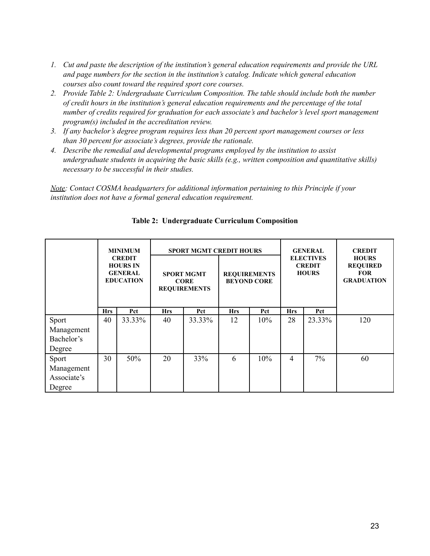- *1. Cut and paste the description of the institution's general education requirements and provide the URL and page numbers for the section in the institution's catalog. Indicate which general education courses also count toward the required sport core courses.*
- *2. Provide Table 2: Undergraduate Curriculum Composition. The table should include both the number of credit hours in the institution's general education requirements and the percentage of the total number of credits required for graduation for each associate's and bachelor's level sport management program(s) included in the accreditation review.*
- *3. If any bachelor's degree program requires less than 20 percent sport management courses or less than 30 percent for associate's degrees, provide the rationale.*
- *4. Describe the remedial and developmental programs employed by the institution to assist undergraduate students in acquiring the basic skills (e.g., written composition and quantitative skills) necessary to be successful in their studies.*

*Note: Contact COSMA headquarters for additional information pertaining to this Principle if your institution does not have a formal general education requirement.*

|                                                                 | <b>MINIMUM</b><br><b>CREDIT</b><br><b>HOURS IN</b><br><b>GENERAL</b><br><b>EDUCATION</b> |        |            | <b>SPORT MGMT CREDIT HOURS</b><br><b>SPORT MGMT</b><br><b>CORE</b><br><b>REQUIREMENTS</b> |                | <b>REQUIREMENTS</b><br><b>BEYOND CORE</b> |            | <b>GENERAL</b><br><b>ELECTIVES</b><br><b>CREDIT</b><br><b>HOURS</b> | <b>CREDIT</b><br><b>HOURS</b><br><b>REQUIRED</b><br><b>FOR</b><br><b>GRADUATION</b> |
|-----------------------------------------------------------------|------------------------------------------------------------------------------------------|--------|------------|-------------------------------------------------------------------------------------------|----------------|-------------------------------------------|------------|---------------------------------------------------------------------|-------------------------------------------------------------------------------------|
|                                                                 | <b>Hrs</b>                                                                               | Pct    | <b>Hrs</b> | Pct                                                                                       | <b>Hrs</b>     | Pct                                       | <b>Hrs</b> | Pct                                                                 |                                                                                     |
| Sport<br>Management<br>Bachelor's<br>Degree                     | 40                                                                                       | 33.33% | 40         | 33.33%                                                                                    | 12             | 10%                                       | 28         | 23.33%                                                              | 120                                                                                 |
| 30<br>50%<br>20<br>Sport<br>Management<br>Associate's<br>Degree |                                                                                          | 33%    | 6          | 10%                                                                                       | $\overline{4}$ | $7\%$                                     | 60         |                                                                     |                                                                                     |

**Table 2: Undergraduate Curriculum Composition**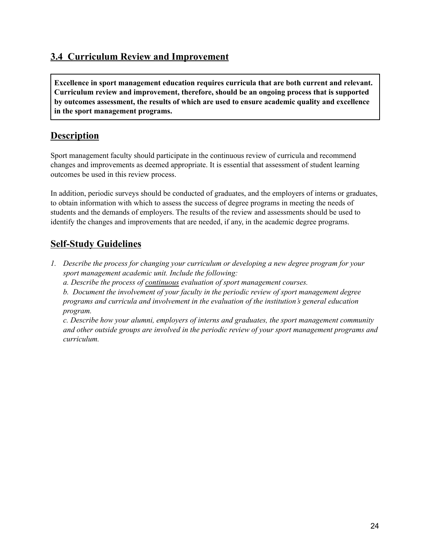#### **3.4 Curriculum Review and Improvement**

**Excellence in sport management education requires curricula that are both current and relevant. Curriculum review and improvement, therefore, should be an ongoing process that is supported by outcomes assessment, the results of which are used to ensure academic quality and excellence in the sport management programs.**

#### **Description**

Sport management faculty should participate in the continuous review of curricula and recommend changes and improvements as deemed appropriate. It is essential that assessment of student learning outcomes be used in this review process.

In addition, periodic surveys should be conducted of graduates, and the employers of interns or graduates, to obtain information with which to assess the success of degree programs in meeting the needs of students and the demands of employers. The results of the review and assessments should be used to identify the changes and improvements that are needed, if any, in the academic degree programs.

#### **Self-Study Guidelines**

- *1. Describe the process for changing your curriculum or developing a new degree program for your sport management academic unit. Include the following:*
	- *a. Describe the process of continuous evaluation of sport management courses.*

*b. Document the involvement of your faculty in the periodic review of sport management degree programs and curricula and involvement in the evaluation of the institution's general education program.*

*c. Describe how your alumni, employers of interns and graduates, the sport management community and other outside groups are involved in the periodic review of your sport management programs and curriculum.*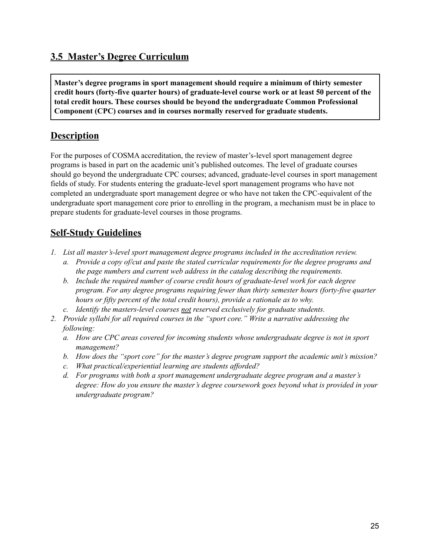### **3.5 Master's Degree Curriculum**

**Master's degree programs in sport management should require a minimum of thirty semester credit hours (forty-five quarter hours) of graduate-level course work or at least 50 percent of the total credit hours. These courses should be beyond the undergraduate Common Professional Component (CPC) courses and in courses normally reserved for graduate students.**

### **Description**

For the purposes of COSMA accreditation, the review of master's-level sport management degree programs is based in part on the academic unit's published outcomes. The level of graduate courses should go beyond the undergraduate CPC courses; advanced, graduate-level courses in sport management fields of study. For students entering the graduate-level sport management programs who have not completed an undergraduate sport management degree or who have not taken the CPC-equivalent of the undergraduate sport management core prior to enrolling in the program, a mechanism must be in place to prepare students for graduate-level courses in those programs.

- *1. List all master's-level sport management degree programs included in the accreditation review.*
	- *a. Provide a copy of/cut and paste the stated curricular requirements for the degree programs and the page numbers and current web address in the catalog describing the requirements.*
	- *b. Include the required number of course credit hours of graduate-level work for each degree program. For any degree programs requiring fewer than thirty semester hours (forty-five quarter hours or fifty percent of the total credit hours), provide a rationale as to why.*
	- *c. Identify the masters-level courses not reserved exclusively for graduate students.*
- *2. Provide syllabi for all required courses in the "sport core." Write a narrative addressing the following:*
	- *a. How are CPC areas covered for incoming students whose undergraduate degree is not in sport management?*
	- *b. How does the "sport core" for the master's degree program support the academic unit's mission?*
	- *c. What practical/experiential learning are students af orded?*
	- *d. For programs with both a sport management undergraduate degree program and a master's degree: How do you ensure the master's degree coursework goes beyond what is provided in your undergraduate program?*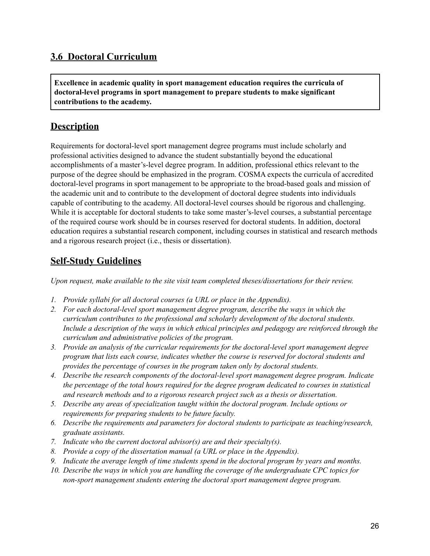#### **3.6 Doctoral Curriculum**

**Excellence in academic quality in sport management education requires the curricula of doctoral-level programs in sport management to prepare students to make significant contributions to the academy.**

#### **Description**

Requirements for doctoral-level sport management degree programs must include scholarly and professional activities designed to advance the student substantially beyond the educational accomplishments of a master's-level degree program. In addition, professional ethics relevant to the purpose of the degree should be emphasized in the program. COSMA expects the curricula of accredited doctoral-level programs in sport management to be appropriate to the broad-based goals and mission of the academic unit and to contribute to the development of doctoral degree students into individuals capable of contributing to the academy. All doctoral-level courses should be rigorous and challenging. While it is acceptable for doctoral students to take some master's-level courses, a substantial percentage of the required course work should be in courses reserved for doctoral students. In addition, doctoral education requires a substantial research component, including courses in statistical and research methods and a rigorous research project (i.e., thesis or dissertation).

#### **Self-Study Guidelines**

*Upon request, make available to the site visit team completed theses/dissertations for their review.*

- *1. Provide syllabi for all doctoral courses (a URL or place in the Appendix).*
- *2. For each doctoral-level sport management degree program, describe the ways in which the curriculum contributes to the professional and scholarly development of the doctoral students. Include a description of the ways in which ethical principles and pedagogy are reinforced through the curriculum and administrative policies of the program.*
- *3. Provide an analysis of the curricular requirements for the doctoral-level sport management degree program that lists each course, indicates whether the course is reserved for doctoral students and provides the percentage of courses in the program taken only by doctoral students.*
- *4. Describe the research components of the doctoral-level sport management degree program. Indicate the percentage of the total hours required for the degree program dedicated to courses in statistical and research methods and to a rigorous research project such as a thesis or dissertation.*
- *5. Describe any areas of specialization taught within the doctoral program. Include options or requirements for preparing students to be future faculty.*
- *6. Describe the requirements and parameters for doctoral students to participate as teaching/research, graduate assistants.*
- *7. Indicate who the current doctoral advisor(s) are and their specialty(s).*
- *8. Provide a copy of the dissertation manual (a URL or place in the Appendix).*
- *9. Indicate the average length of time students spend in the doctoral program by years and months.*
- *10. Describe the ways in which you are handling the coverage of the undergraduate CPC topics for non-sport management students entering the doctoral sport management degree program.*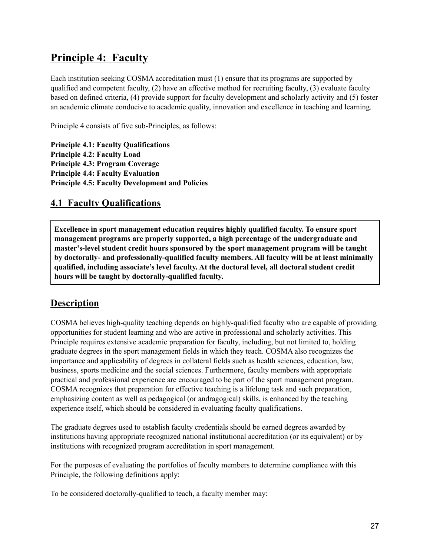# **Principle 4: Faculty**

Each institution seeking COSMA accreditation must (1) ensure that its programs are supported by qualified and competent faculty, (2) have an effective method for recruiting faculty, (3) evaluate faculty based on defined criteria, (4) provide support for faculty development and scholarly activity and (5) foster an academic climate conducive to academic quality, innovation and excellence in teaching and learning.

Principle 4 consists of five sub-Principles, as follows:

**Principle 4.1: Faculty Qualifications Principle 4.2: Faculty Load Principle 4.3: Program Coverage Principle 4.4: Faculty Evaluation Principle 4.5: Faculty Development and Policies**

#### **4.1 Faculty Qualifications**

**Excellence in sport management education requires highly qualified faculty. To ensure sport management programs are properly supported, a high percentage of the undergraduate and master's-level student credit hours sponsored by the sport management program will be taught by doctorally- and professionally-qualified faculty members. All faculty will be at least minimally qualified, including associate's level faculty. At the doctoral level, all doctoral student credit hours will be taught by doctorally-qualified faculty.**

#### **Description**

COSMA believes high-quality teaching depends on highly-qualified faculty who are capable of providing opportunities for student learning and who are active in professional and scholarly activities. This Principle requires extensive academic preparation for faculty, including, but not limited to, holding graduate degrees in the sport management fields in which they teach. COSMA also recognizes the importance and applicability of degrees in collateral fields such as health sciences, education, law, business, sports medicine and the social sciences. Furthermore, faculty members with appropriate practical and professional experience are encouraged to be part of the sport management program. COSMA recognizes that preparation for effective teaching is a lifelong task and such preparation, emphasizing content as well as pedagogical (or andragogical) skills, is enhanced by the teaching experience itself, which should be considered in evaluating faculty qualifications.

The graduate degrees used to establish faculty credentials should be earned degrees awarded by institutions having appropriate recognized national institutional accreditation (or its equivalent) or by institutions with recognized program accreditation in sport management.

For the purposes of evaluating the portfolios of faculty members to determine compliance with this Principle, the following definitions apply:

To be considered doctorally-qualified to teach, a faculty member may: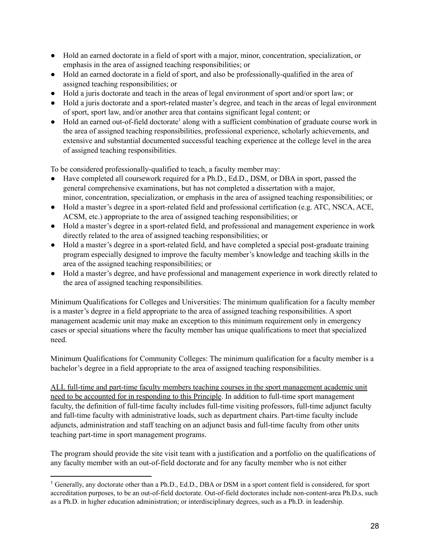- Hold an earned doctorate in a field of sport with a major, minor, concentration, specialization, or emphasis in the area of assigned teaching responsibilities; or
- Hold an earned doctorate in a field of sport, and also be professionally-qualified in the area of assigned teaching responsibilities; or
- Hold a juris doctorate and teach in the areas of legal environment of sport and/or sport law; or
- Hold a juris doctorate and a sport-related master's degree, and teach in the areas of legal environment of sport, sport law, and/or another area that contains significant legal content; or
- Hold an earned out-of-field doctorate<sup>1</sup> along with a sufficient combination of graduate course work in the area of assigned teaching responsibilities, professional experience, scholarly achievements, and extensive and substantial documented successful teaching experience at the college level in the area of assigned teaching responsibilities.

To be considered professionally-qualified to teach, a faculty member may:

- Have completed all coursework required for a Ph.D., Ed.D., DSM, or DBA in sport, passed the general comprehensive examinations, but has not completed a dissertation with a major, minor, concentration, specialization, or emphasis in the area of assigned teaching responsibilities; or
- Hold a master's degree in a sport-related field and professional certification (e.g. ATC, NSCA, ACE, ACSM, etc.) appropriate to the area of assigned teaching responsibilities; or
- Hold a master's degree in a sport-related field, and professional and management experience in work directly related to the area of assigned teaching responsibilities; or
- Hold a master's degree in a sport-related field, and have completed a special post-graduate training program especially designed to improve the faculty member's knowledge and teaching skills in the area of the assigned teaching responsibilities; or
- Hold a master's degree, and have professional and management experience in work directly related to the area of assigned teaching responsibilities.

Minimum Qualifications for Colleges and Universities: The minimum qualification for a faculty member is a master's degree in a field appropriate to the area of assigned teaching responsibilities. A sport management academic unit may make an exception to this minimum requirement only in emergency cases or special situations where the faculty member has unique qualifications to meet that specialized need.

Minimum Qualifications for Community Colleges: The minimum qualification for a faculty member is a bachelor's degree in a field appropriate to the area of assigned teaching responsibilities.

ALL full-time and part-time faculty members teaching courses in the sport management academic unit need to be accounted for in responding to this Principle. In addition to full-time sport management faculty, the definition of full-time faculty includes full-time visiting professors, full-time adjunct faculty and full-time faculty with administrative loads, such as department chairs. Part-time faculty include adjuncts, administration and staff teaching on an adjunct basis and full-time faculty from other units teaching part-time in sport management programs.

The program should provide the site visit team with a justification and a portfolio on the qualifications of any faculty member with an out-of-field doctorate and for any faculty member who is not either

<sup>1</sup> Generally, any doctorate other than a Ph.D., Ed.D., DBA or DSM in a sport content field is considered, for sport accreditation purposes, to be an out-of-field doctorate. Out-of-field doctorates include non-content-area Ph.D.s, such as a Ph.D. in higher education administration; or interdisciplinary degrees, such as a Ph.D. in leadership.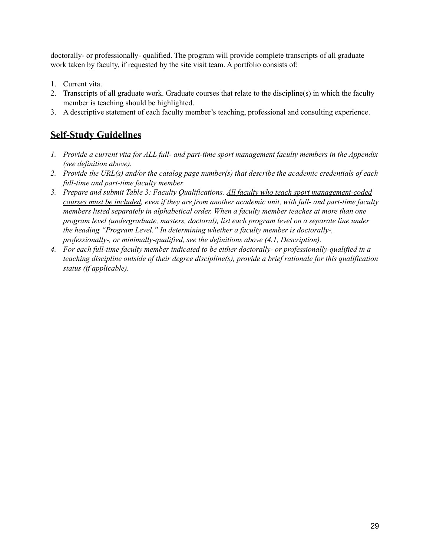doctorally- or professionally- qualified. The program will provide complete transcripts of all graduate work taken by faculty, if requested by the site visit team. A portfolio consists of:

- 1. Current vita.
- 2. Transcripts of all graduate work. Graduate courses that relate to the discipline(s) in which the faculty member is teaching should be highlighted.
- 3. A descriptive statement of each faculty member's teaching, professional and consulting experience.

- *1. Provide a current vita for ALL full- and part-time sport management faculty members in the Appendix (see definition above).*
- *2. Provide the URL(s) and/or the catalog page number(s) that describe the academic credentials of each full-time and part-time faculty member.*
- *3. Prepare and submit Table 3: Faculty Qualifications. All faculty who teach sport management-coded courses must be included, even if they are from another academic unit, with full- and part-time faculty members listed separately in alphabetical order. When a faculty member teaches at more than one program level (undergraduate, masters, doctoral), list each program level on a separate line under the heading "Program Level." In determining whether a faculty member is doctorally-, professionally-, or minimally-qualified, see the definitions above (4.1, Description).*
- *4. For each full-time faculty member indicated to be either doctorally- or professionally-qualified in a teaching discipline outside of their degree discipline(s), provide a brief rationale for this qualification status (if applicable).*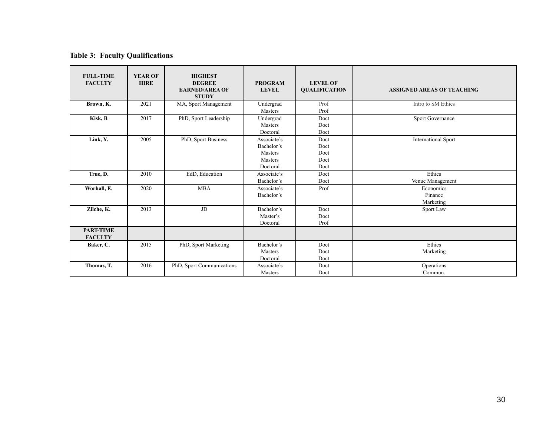#### **Table 3: Faculty Qualifications**

| <b>FULL-TIME</b><br><b>FACULTY</b> | <b>YEAR OF</b><br><b>HIRE</b> | <b>HIGHEST</b><br><b>DEGREE</b><br><b>EARNED/AREA OF</b><br><b>STUDY</b> | <b>PROGRAM</b><br><b>LEVEL</b>                                     | <b>LEVEL OF</b><br><b>QUALIFICATION</b> | <b>ASSIGNED AREAS OF TEACHING</b> |
|------------------------------------|-------------------------------|--------------------------------------------------------------------------|--------------------------------------------------------------------|-----------------------------------------|-----------------------------------|
| Brown, K.                          | 2021                          | MA, Sport Management                                                     | Undergrad<br>Masters                                               | Prof<br>Prof                            | Intro to SM Ethics                |
| Kisk, B                            | 2017                          | PhD, Sport Leadership                                                    | Undergrad<br><b>Masters</b><br>Doctoral                            | Doct<br>Doct<br>Doct                    | Sport Governance                  |
| Link, Y.                           | 2005                          | PhD, Sport Business                                                      | Associate's<br>Bachelor's<br><b>Masters</b><br>Masters<br>Doctoral | Doct<br>Doct<br>Doct<br>Doct<br>Doct    | <b>International Sport</b>        |
| True, D.                           | 2010                          | EdD, Education                                                           | Associate's<br>Bachelor's                                          | Doct<br>Doct                            | Ethics<br>Venue Management        |
| Worhall, E.                        | 2020                          | <b>MBA</b>                                                               | Associate's<br>Bachelor's                                          | Prof                                    | Economics<br>Finance<br>Marketing |
| Zilche, K.                         | 2013                          | JD                                                                       | Bachelor's<br>Master's<br>Doctoral                                 | Doct<br>Doct<br>Prof                    | Sport Law                         |
| <b>PART-TIME</b><br><b>FACULTY</b> |                               |                                                                          |                                                                    |                                         |                                   |
| Baker, C.                          | 2015                          | PhD, Sport Marketing                                                     | Bachelor's<br><b>Masters</b><br>Doctoral                           | Doct<br>Doct<br>Doct                    | Ethics<br>Marketing               |
| Thomas, T.                         | 2016                          | PhD, Sport Communications                                                | Associate's<br>Masters                                             | Doct<br>Doct                            | Operations<br>Commun.             |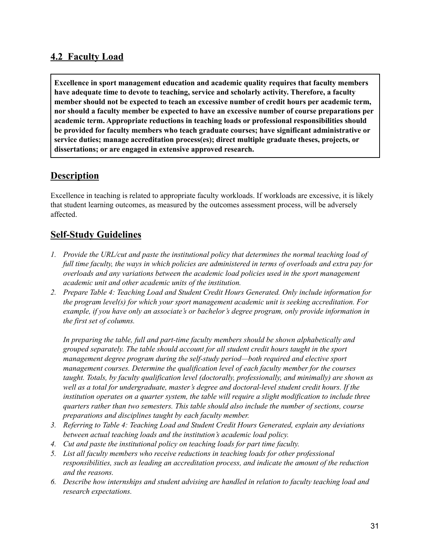#### **4.2 Faculty Load**

**Excellence in sport management education and academic quality requires that faculty members have adequate time to devote to teaching, service and scholarly activity. Therefore, a faculty member should not be expected to teach an excessive number of credit hours per academic term, nor should a faculty member be expected to have an excessive number of course preparations per academic term. Appropriate reductions in teaching loads or professional responsibilities should be provided for faculty members who teach graduate courses; have significant administrative or service duties; manage accreditation process(es); direct multiple graduate theses, projects, or dissertations; or are engaged in extensive approved research.**

#### **Description**

Excellence in teaching is related to appropriate faculty workloads. If workloads are excessive, it is likely that student learning outcomes, as measured by the outcomes assessment process, will be adversely affected.

#### **Self-Study Guidelines**

- *1. Provide the URL/cut and paste the institutional policy that determines the normal teaching load of* full time faculty, the ways in which policies are administered in terms of overloads and extra pay for *overloads and any variations between the academic load policies used in the sport management academic unit and other academic units of the institution.*
- *2. Prepare Table 4: Teaching Load and Student Credit Hours Generated. Only include information for the program level(s) for which your sport management academic unit is seeking accreditation. For example, if you have only an associate's or bachelor's degree program, only provide information in the first set of columns.*

*In preparing the table, full and part-time faculty members should be shown alphabetically and grouped separately. The table should account for all student credit hours taught in the sport management degree program during the self-study period—both required and elective sport management courses. Determine the qualification level of each faculty member for the courses taught. Totals, by faculty qualification level (doctorally, professionally, and minimally) are shown as well as a total for undergraduate, master's degree and doctoral-level student credit hours. If the institution operates on a quarter system, the table will require a slight modification to include three quarters rather than two semesters. This table should also include the number of sections, course preparations and disciplines taught by each faculty member.*

- *3. Referring to Table 4: Teaching Load and Student Credit Hours Generated, explain any deviations between actual teaching loads and the institution's academic load policy.*
- *4. Cut and paste the institutional policy on teaching loads for part time faculty.*
- *5. List all faculty members who receive reductions in teaching loads for other professional responsibilities, such as leading an accreditation process, and indicate the amount of the reduction and the reasons.*
- *6. Describe how internships and student advising are handled in relation to faculty teaching load and research expectations.*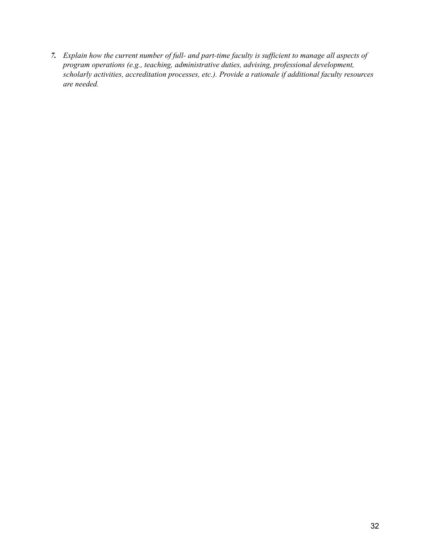7. Explain how the current number of full- and part-time faculty is sufficient to manage all aspects of *program operations (e.g., teaching, administrative duties, advising, professional development, scholarly activities, accreditation processes, etc.). Provide a rationale if additional faculty resources are needed.*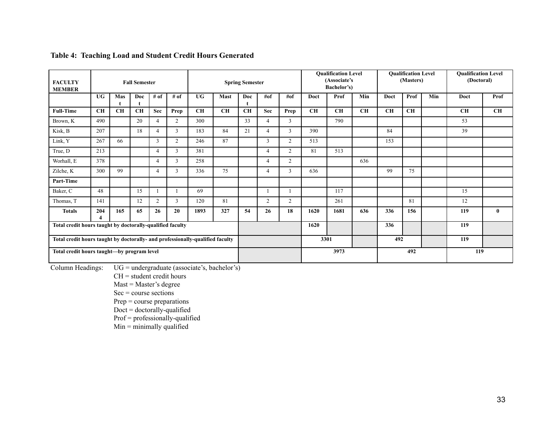| <b>FACULTY</b><br><b>Fall Semester</b><br><b>MEMBER</b>   |                                                                               |           | <b>Spring Semester</b> |                |                |           | <b>Qualification Level</b><br>(Associate's<br>Bachelor's) |      | <b>Qualification Level</b><br>(Masters) |                | <b>Qualification Level</b><br>(Doctoral) |           |           |           |           |     |           |              |
|-----------------------------------------------------------|-------------------------------------------------------------------------------|-----------|------------------------|----------------|----------------|-----------|-----------------------------------------------------------|------|-----------------------------------------|----------------|------------------------------------------|-----------|-----------|-----------|-----------|-----|-----------|--------------|
|                                                           | <b>UG</b>                                                                     | Mas       | Doc                    | # of           | # of           | <b>UG</b> | <b>Mast</b>                                               | Doc  | #of                                     | $#$ of         | Doct                                     | Prof      | Min       | Doct      | Prof      | Min | Doct      | Prof         |
| <b>Full-Time</b>                                          | <b>CH</b>                                                                     | <b>CH</b> | <b>CH</b>              | <b>Sec</b>     | Prep           | <b>CH</b> | <b>CH</b>                                                 | CH   | <b>Sec</b>                              | Prep           | <b>CH</b>                                | <b>CH</b> | <b>CH</b> | <b>CH</b> | <b>CH</b> |     | <b>CH</b> | <b>CH</b>    |
| Brown, K                                                  | 490                                                                           |           | 20                     | $\overline{4}$ | $\overline{2}$ | 300       |                                                           | 33   | 4                                       | 3              |                                          | 790       |           |           |           |     | 53        |              |
| Kisk, B                                                   | 207                                                                           |           | 18                     | $\overline{4}$ | 3              | 183       | 84                                                        | 21   | $\overline{4}$                          | 3              | 390                                      |           |           | 84        |           |     | 39        |              |
| Link, Y                                                   | 267                                                                           | 66        |                        | 3              | 2              | 246       | 87                                                        |      | 3                                       | $\overline{2}$ | 513                                      |           |           | 153       |           |     |           |              |
| True, D                                                   | 213                                                                           |           |                        | $\overline{4}$ | 3              | 381       |                                                           |      | $\overline{4}$                          | $\overline{2}$ | 81                                       | 513       |           |           |           |     |           |              |
| Worhall, E                                                | 378                                                                           |           |                        | $\overline{4}$ | 3              | 258       |                                                           |      | 4                                       | $\overline{2}$ |                                          |           | 636       |           |           |     |           |              |
| Zilche, K                                                 | 300                                                                           | 99        |                        | $\overline{4}$ | 3              | 336       | 75                                                        |      | 4                                       | 3              | 636                                      |           |           | 99        | 75        |     |           |              |
| Part-Time                                                 |                                                                               |           |                        |                |                |           |                                                           |      |                                         |                |                                          |           |           |           |           |     |           |              |
| Baker, C                                                  | 48                                                                            |           | 15                     |                |                | 69        |                                                           |      |                                         |                |                                          | 117       |           |           |           |     | 15        |              |
| Thomas, T                                                 | 141                                                                           |           | 12                     | $\overline{2}$ | 3              | 120       | 81                                                        |      | 2                                       | $\overline{2}$ |                                          | 261       |           |           | 81        |     | 12        |              |
| <b>Totals</b>                                             | 204                                                                           | 165       | 65                     | 26             | 20             | 1893      | 327                                                       | 54   | 26                                      | 18             | 1620                                     | 1681      | 636       | 336       | 156       |     | 119       | $\mathbf{0}$ |
| Total credit hours taught by doctorally-qualified faculty |                                                                               |           |                        |                |                |           |                                                           | 1620 |                                         |                | 336                                      |           |           | 119       |           |     |           |              |
|                                                           | Total credit hours taught by doctorally- and professionally-qualified faculty |           |                        |                |                | 3301      |                                                           |      |                                         | 492            |                                          |           | 119       |           |           |     |           |              |
|                                                           | Total credit hours taught-by program level                                    |           |                        |                |                |           |                                                           |      |                                         | 3973           |                                          |           | 492       |           | 119       |     |           |              |

#### **Table 4: Teaching Load and Student Credit Hours Generated**

Column Headings: UG = undergraduate (associate's, bachelor's)

CH = student credit hours

Mast = Master's degree

 $Sec = course sections$ 

Prep = course preparations

Doct = doctorally-qualified

Prof = professionally-qualified

 $Min =$  minimally qualified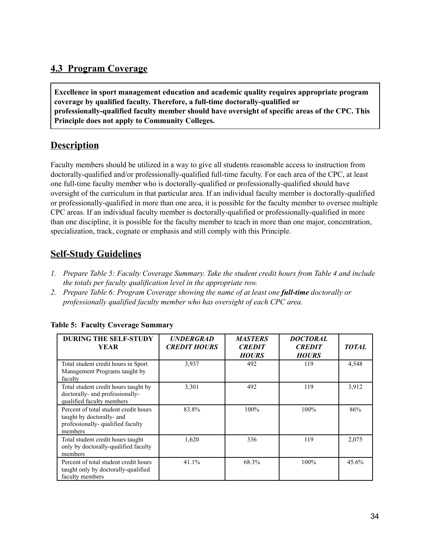### **4.3 Program Coverage**

**Excellence in sport management education and academic quality requires appropriate program coverage by qualified faculty. Therefore, a full-time doctorally-qualified or professionally-qualified faculty member should have oversight of specific areas of the CPC. This Principle does not apply to Community Colleges.**

#### **Description**

Faculty members should be utilized in a way to give all students reasonable access to instruction from doctorally-qualified and/or professionally-qualified full-time faculty. For each area of the CPC, at least one full-time faculty member who is doctorally-qualified or professionally-qualified should have oversight of the curriculum in that particular area. If an individual faculty member is doctorally-qualified or professionally-qualified in more than one area, it is possible for the faculty member to oversee multiple CPC areas. If an individual faculty member is doctorally-qualified or professionally-qualified in more than one discipline, it is possible for the faculty member to teach in more than one major, concentration, specialization, track, cognate or emphasis and still comply with this Principle.

## **Self-Study Guidelines**

- *1. Prepare Table 5: Faculty Coverage Summary. Take the student credit hours from Table 4 and include the totals per faculty qualification level in the appropriate row.*
- *2. Prepare Table 6: Program Coverage showing the name of at least one full-time doctorally or professionally qualified faculty member who has oversight of each CPC area.*

| <b>DURING THE SELF-STUDY</b><br><b>YEAR</b>                                                                        | <b>UNDERGRAD</b><br><b>CREDIT HOURS</b> | <b>MASTERS</b><br><b>CREDIT</b><br><b>HOURS</b> | <b>DOCTORAL</b><br><b>CREDIT</b><br><b>HOURS</b> | <b>TOTAL</b> |
|--------------------------------------------------------------------------------------------------------------------|-----------------------------------------|-------------------------------------------------|--------------------------------------------------|--------------|
| Total student credit hours in Sport<br>Management Programs taught by<br>faculty                                    | 3,937                                   | 492                                             | 119                                              | 4,548        |
| Total student credit hours taught by<br>doctorally- and professionally-<br>qualified faculty members               | 3,301                                   | 492                                             | 119                                              | 3,912        |
| Percent of total student credit hours<br>taught by doctorally- and<br>professionally- qualified faculty<br>members | 83.8%                                   | 100%                                            | $100\%$                                          | 86%          |
| Total student credit hours taught<br>only by doctorally-qualified faculty<br>members                               | 1,620                                   | 336                                             | 119                                              | 2,075        |
| Percent of total student credit hours<br>taught only by doctorally-qualified<br>faculty members                    | 41.1%                                   | 68.3%                                           | 100%                                             | 45.6%        |

#### **Table 5: Faculty Coverage Summary**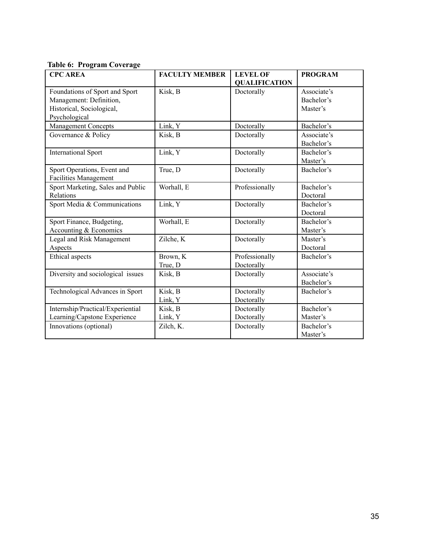|  | <b>Table 6: Program Coverage</b> |  |
|--|----------------------------------|--|
|--|----------------------------------|--|

| <b>CPC AREA</b>                                                                        | <b>FACULTY MEMBER</b> | <b>LEVEL OF</b>              | <b>PROGRAM</b>                        |
|----------------------------------------------------------------------------------------|-----------------------|------------------------------|---------------------------------------|
|                                                                                        |                       | <b>QUALIFICATION</b>         |                                       |
| Foundations of Sport and Sport<br>Management: Definition,<br>Historical, Sociological, | Kisk, B               | Doctorally                   | Associate's<br>Bachelor's<br>Master's |
| Psychological                                                                          | Link, Y               | Doctorally                   | Bachelor's                            |
| Management Concepts                                                                    |                       |                              |                                       |
| Governance & Policy                                                                    | Kisk, B               | Doctorally                   | Associate's<br>Bachelor's             |
| <b>International Sport</b>                                                             | Link, Y               | Doctorally                   | Bachelor's<br>Master's                |
| Sport Operations, Event and<br><b>Facilities Management</b>                            | True, D               | Doctorally                   | Bachelor's                            |
| Sport Marketing, Sales and Public<br>Relations                                         | Worhall, E            | Professionally               | Bachelor's<br>Doctoral                |
| Sport Media & Communications                                                           | Link, Y               | Doctorally                   | Bachelor's<br>Doctoral                |
| Sport Finance, Budgeting,<br>Accounting & Economics                                    | Worhall, E            | Doctorally                   | Bachelor's<br>Master's                |
| Legal and Risk Management<br>Aspects                                                   | Zilche, K             | Doctorally                   | Master's<br>Doctoral                  |
| Ethical aspects                                                                        | Brown, K<br>True, D   | Professionally<br>Doctorally | Bachelor's                            |
| Diversity and sociological issues                                                      | Kisk, B               | Doctorally                   | Associate's<br>Bachelor's             |
| Technological Advances in Sport                                                        | Kisk, B<br>Link, Y    | Doctorally<br>Doctorally     | Bachelor's                            |
| Internship/Practical/Experiential                                                      | Kisk, B               | Doctorally                   | Bachelor's                            |
| Learning/Capstone Experience                                                           | Link, Y               | Doctorally                   | Master's                              |
| Innovations (optional)                                                                 | Zilch, K.             | Doctorally                   | Bachelor's<br>Master's                |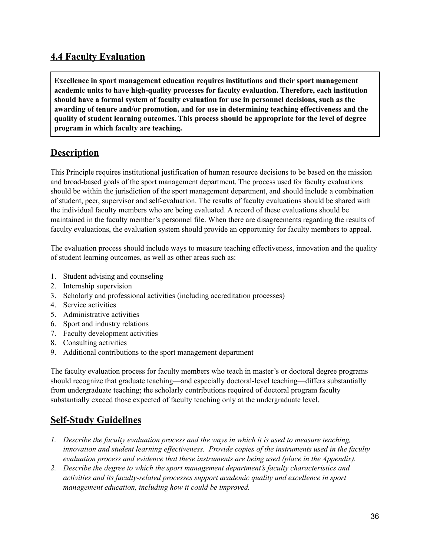#### **4.4 Faculty Evaluation**

**Excellence in sport management education requires institutions and their sport management academic units to have high-quality processes for faculty evaluation. Therefore, each institution should have a formal system of faculty evaluation for use in personnel decisions, such as the awarding of tenure and/or promotion, and for use in determining teaching effectiveness and the quality of student learning outcomes. This process should be appropriate for the level of degree program in which faculty are teaching.**

#### **Description**

This Principle requires institutional justification of human resource decisions to be based on the mission and broad-based goals of the sport management department. The process used for faculty evaluations should be within the jurisdiction of the sport management department, and should include a combination of student, peer, supervisor and self-evaluation. The results of faculty evaluations should be shared with the individual faculty members who are being evaluated. A record of these evaluations should be maintained in the faculty member's personnel file. When there are disagreements regarding the results of faculty evaluations, the evaluation system should provide an opportunity for faculty members to appeal.

The evaluation process should include ways to measure teaching effectiveness, innovation and the quality of student learning outcomes, as well as other areas such as:

- 1. Student advising and counseling
- 2. Internship supervision
- 3. Scholarly and professional activities (including accreditation processes)
- 4. Service activities
- 5. Administrative activities
- 6. Sport and industry relations
- 7. Faculty development activities
- 8. Consulting activities
- 9. Additional contributions to the sport management department

The faculty evaluation process for faculty members who teach in master's or doctoral degree programs should recognize that graduate teaching—and especially doctoral-level teaching—differs substantially from undergraduate teaching; the scholarly contributions required of doctoral program faculty substantially exceed those expected of faculty teaching only at the undergraduate level.

- *1. Describe the faculty evaluation process and the ways in which it is used to measure teaching, innovation and student learning ef ectiveness. Provide copies of the instruments used in the faculty evaluation process and evidence that these instruments are being used (place in the Appendix).*
- *2. Describe the degree to which the sport management department's faculty characteristics and activities and its faculty-related processes support academic quality and excellence in sport management education, including how it could be improved.*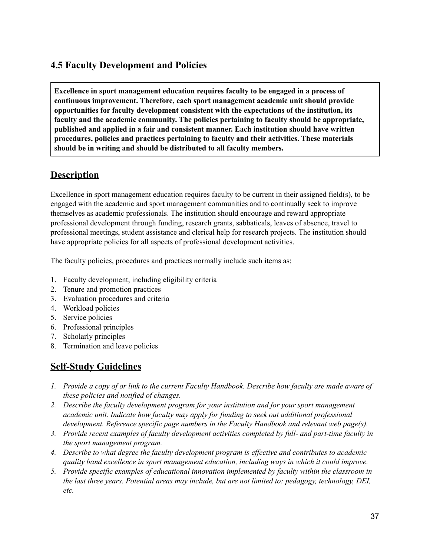### **4.5 Faculty Development and Policies**

**Excellence in sport management education requires faculty to be engaged in a process of continuous improvement. Therefore, each sport management academic unit should provide opportunities for faculty development consistent with the expectations of the institution, its faculty and the academic community. The policies pertaining to faculty should be appropriate, published and applied in a fair and consistent manner. Each institution should have written procedures, policies and practices pertaining to faculty and their activities. These materials should be in writing and should be distributed to all faculty members.**

#### **Description**

Excellence in sport management education requires faculty to be current in their assigned field(s), to be engaged with the academic and sport management communities and to continually seek to improve themselves as academic professionals. The institution should encourage and reward appropriate professional development through funding, research grants, sabbaticals, leaves of absence, travel to professional meetings, student assistance and clerical help for research projects. The institution should have appropriate policies for all aspects of professional development activities.

The faculty policies, procedures and practices normally include such items as:

- 1. Faculty development, including eligibility criteria
- 2. Tenure and promotion practices
- 3. Evaluation procedures and criteria
- 4. Workload policies
- 5. Service policies
- 6. Professional principles
- 7. Scholarly principles
- 8. Termination and leave policies

- 1. Provide a copy of or link to the current Faculty Handbook. Describe how faculty are made aware of *these policies and notified of changes.*
- *2. Describe the faculty development program for your institution and for your sport management academic unit. Indicate how faculty may apply for funding to seek out additional professional development. Reference specific page numbers in the Faculty Handbook and relevant web page(s).*
- *3. Provide recent examples of faculty development activities completed by full- and part-time faculty in the sport management program.*
- *4. Describe to what degree the faculty development program is ef ective and contributes to academic quality band excellence in sport management education, including ways in which it could improve.*
- *5. Provide specific examples of educational innovation implemented by faculty within the classroom in the last three years. Potential areas may include, but are not limited to: pedagogy, technology, DEI, etc.*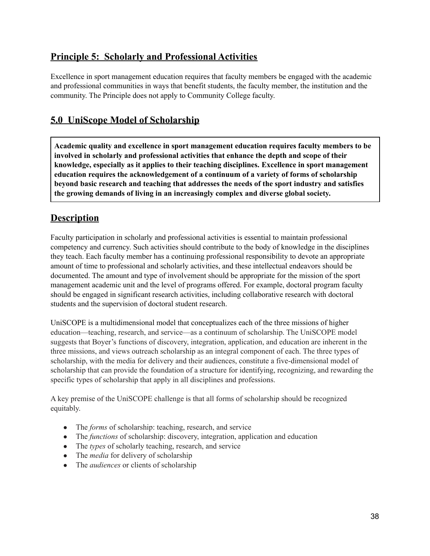#### **Principle 5: Scholarly and Professional Activities**

Excellence in sport management education requires that faculty members be engaged with the academic and professional communities in ways that benefit students, the faculty member, the institution and the community. The Principle does not apply to Community College faculty.

### **5.0 UniScope Model of Scholarship**

**Academic quality and excellence in sport management education requires faculty members to be involved in scholarly and professional activities that enhance the depth and scope of their knowledge, especially as it applies to their teaching disciplines. Excellence in sport management education requires the acknowledgement of a continuum of a variety of forms of scholarship beyond basic research and teaching that addresses the needs of the sport industry and satisfies the growing demands of living in an increasingly complex and diverse global society.**

#### **Description**

Faculty participation in scholarly and professional activities is essential to maintain professional competency and currency. Such activities should contribute to the body of knowledge in the disciplines they teach. Each faculty member has a continuing professional responsibility to devote an appropriate amount of time to professional and scholarly activities, and these intellectual endeavors should be documented. The amount and type of involvement should be appropriate for the mission of the sport management academic unit and the level of programs offered. For example, doctoral program faculty should be engaged in significant research activities, including collaborative research with doctoral students and the supervision of doctoral student research.

UniSCOPE is a multidimensional model that conceptualizes each of the three missions of higher education—teaching, research, and service—as a continuum of scholarship. The UniSCOPE model suggests that Boyer's functions of discovery, integration, application, and education are inherent in the three missions, and views outreach scholarship as an integral component of each. The three types of scholarship, with the media for delivery and their audiences, constitute a five-dimensional model of scholarship that can provide the foundation of a structure for identifying, recognizing, and rewarding the specific types of scholarship that apply in all disciplines and professions.

A key premise of the UniSCOPE challenge is that all forms of scholarship should be recognized equitably.

- The *forms* of scholarship: teaching, research, and service
- The *functions* of scholarship: discovery, integration, application and education
- The *types* of scholarly teaching, research, and service
- The *media* for delivery of scholarship
- The *audiences* or clients of scholarship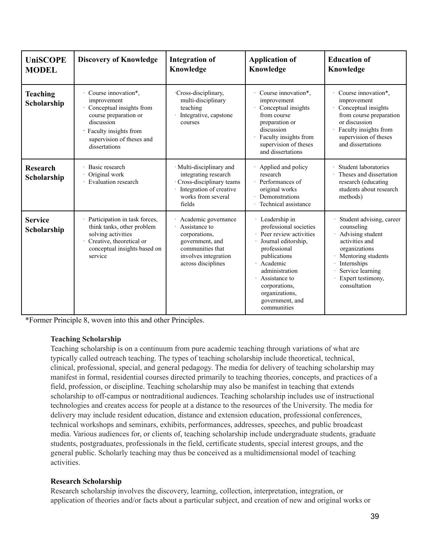| <b>UniSCOPE</b><br><b>MODEL</b> | <b>Discovery of Knowledge</b>                                                                                                                                                | <b>Integration of</b><br>Knowledge                                                                                                         | <b>Application of</b><br>Knowledge                                                                                                                                                                                                           | <b>Education of</b><br>Knowledge                                                                                                                                                            |
|---------------------------------|------------------------------------------------------------------------------------------------------------------------------------------------------------------------------|--------------------------------------------------------------------------------------------------------------------------------------------|----------------------------------------------------------------------------------------------------------------------------------------------------------------------------------------------------------------------------------------------|---------------------------------------------------------------------------------------------------------------------------------------------------------------------------------------------|
| <b>Teaching</b><br>Scholarship  | Course innovation*,<br>improvement<br>Conceptual insights from<br>course preparation or<br>discussion<br>Faculty insights from<br>supervision of theses and<br>dissertations | Cross-disciplinary,<br>multi-disciplinary<br>teaching<br>Integrative, capstone<br>courses                                                  | Course innovation*,<br>improvement<br>Conceptual insights<br>from course<br>preparation or<br>discussion<br>Faculty insights from<br>supervision of theses<br>and dissertations                                                              | Course innovation*,<br>improvement<br>Conceptual insights<br>from course preparation<br>or discussion<br>Faculty insights from<br>supervision of theses<br>and dissertations                |
| <b>Research</b><br>Scholarship  | Basic research<br>Original work<br>Evaluation research                                                                                                                       | · Multi-disciplinary and<br>integrating research<br>Cross-disciplinary teams<br>Integration of creative<br>works from several<br>fields    | Applied and policy<br>research<br>· Performances of<br>original works<br>Demonstrations<br>Technical assistance                                                                                                                              | Student laboratories<br>Theses and dissertation<br>research (educating<br>students about research<br>methods)                                                                               |
| <b>Service</b><br>Scholarship   | Participation in task forces,<br>think tanks, other problem<br>solving activities<br>Creative, theoretical or<br>conceptual insights based on<br>service                     | Academic governance<br>Assistance to<br>corporations,<br>government, and<br>communities that<br>involves integration<br>across disciplines | Leadership in<br>professional societies<br>Peer review activities<br>Journal editorship,<br>professional<br>publications<br>Academic<br>administration<br>Assistance to<br>corporations,<br>organizations,<br>government, and<br>communities | Student advising, career<br>counseling<br>Advising student<br>activities and<br>organizations<br>Mentoring students<br>Internships<br>Service learning<br>Expert testimony,<br>consultation |

\*Former Principle 8, woven into this and other Principles.

#### **Teaching Scholarship**

Teaching scholarship is on a continuum from pure academic teaching through variations of what are typically called outreach teaching. The types of teaching scholarship include theoretical, technical, clinical, professional, special, and general pedagogy. The media for delivery of teaching scholarship may manifest in formal, residential courses directed primarily to teaching theories, concepts, and practices of a field, profession, or discipline. Teaching scholarship may also be manifest in teaching that extends scholarship to off-campus or nontraditional audiences. Teaching scholarship includes use of instructional technologies and creates access for people at a distance to the resources of the University. The media for delivery may include resident education, distance and extension education, professional conferences, technical workshops and seminars, exhibits, performances, addresses, speeches, and public broadcast media. Various audiences for, or clients of, teaching scholarship include undergraduate students, graduate students, postgraduates, professionals in the field, certificate students, special interest groups, and the general public. Scholarly teaching may thus be conceived as a multidimensional model of teaching activities.

#### **Research Scholarship**

Research scholarship involves the discovery, learning, collection, interpretation, integration, or application of theories and/or facts about a particular subject, and creation of new and original works or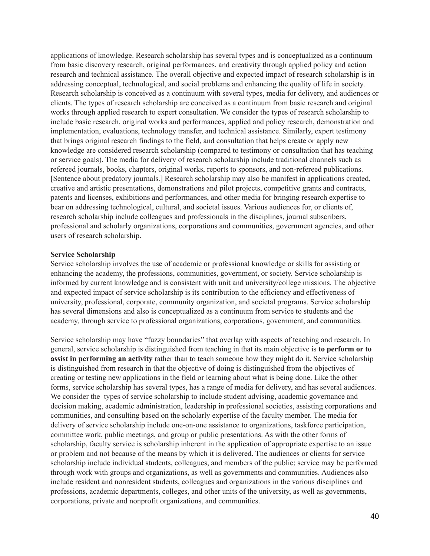applications of knowledge. Research scholarship has several types and is conceptualized as a continuum from basic discovery research, original performances, and creativity through applied policy and action research and technical assistance. The overall objective and expected impact of research scholarship is in addressing conceptual, technological, and social problems and enhancing the quality of life in society. Research scholarship is conceived as a continuum with several types, media for delivery, and audiences or clients. The types of research scholarship are conceived as a continuum from basic research and original works through applied research to expert consultation. We consider the types of research scholarship to include basic research, original works and performances, applied and policy research, demonstration and implementation, evaluations, technology transfer, and technical assistance. Similarly, expert testimony that brings original research findings to the field, and consultation that helps create or apply new knowledge are considered research scholarship (compared to testimony or consultation that has teaching or service goals). The media for delivery of research scholarship include traditional channels such as refereed journals, books, chapters, original works, reports to sponsors, and non-refereed publications. [Sentence about predatory journals.] Research scholarship may also be manifest in applications created, creative and artistic presentations, demonstrations and pilot projects, competitive grants and contracts, patents and licenses, exhibitions and performances, and other media for bringing research expertise to bear on addressing technological, cultural, and societal issues. Various audiences for, or clients of, research scholarship include colleagues and professionals in the disciplines, journal subscribers, professional and scholarly organizations, corporations and communities, government agencies, and other users of research scholarship.

#### **Service Scholarship**

Service scholarship involves the use of academic or professional knowledge or skills for assisting or enhancing the academy, the professions, communities, government, or society. Service scholarship is informed by current knowledge and is consistent with unit and university/college missions. The objective and expected impact of service scholarship is its contribution to the efficiency and effectiveness of university, professional, corporate, community organization, and societal programs. Service scholarship has several dimensions and also is conceptualized as a continuum from service to students and the academy, through service to professional organizations, corporations, government, and communities.

Service scholarship may have "fuzzy boundaries" that overlap with aspects of teaching and research. In general, service scholarship is distinguished from teaching in that its main objective is **to perform or to assist in performing an activity** rather than to teach someone how they might do it. Service scholarship is distinguished from research in that the objective of doing is distinguished from the objectives of creating or testing new applications in the field or learning about what is being done. Like the other forms, service scholarship has several types, has a range of media for delivery, and has several audiences. We consider the types of service scholarship to include student advising, academic governance and decision making, academic administration, leadership in professional societies, assisting corporations and communities, and consulting based on the scholarly expertise of the faculty member. The media for delivery of service scholarship include one-on-one assistance to organizations, taskforce participation, committee work, public meetings, and group or public presentations. As with the other forms of scholarship, faculty service is scholarship inherent in the application of appropriate expertise to an issue or problem and not because of the means by which it is delivered. The audiences or clients for service scholarship include individual students, colleagues, and members of the public; service may be performed through work with groups and organizations, as well as governments and communities. Audiences also include resident and nonresident students, colleagues and organizations in the various disciplines and professions, academic departments, colleges, and other units of the university, as well as governments, corporations, private and nonprofit organizations, and communities.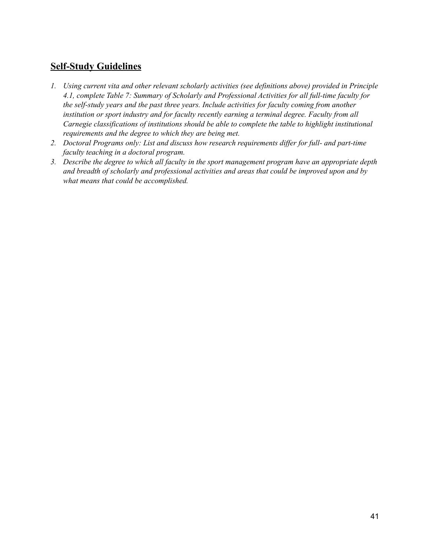- *1. Using current vita and other relevant scholarly activities (see definitions above) provided in Principle 4.1, complete Table 7: Summary of Scholarly and Professional Activities for all full-time faculty for the self-study years and the past three years. Include activities for faculty coming from another institution or sport industry and for faculty recently earning a terminal degree. Faculty from all Carnegie classifications of institutions should be able to complete the table to highlight institutional requirements and the degree to which they are being met.*
- *2. Doctoral Programs only: List and discuss how research requirements dif er for full- and part-time faculty teaching in a doctoral program.*
- *3. Describe the degree to which all faculty in the sport management program have an appropriate depth and breadth of scholarly and professional activities and areas that could be improved upon and by what means that could be accomplished.*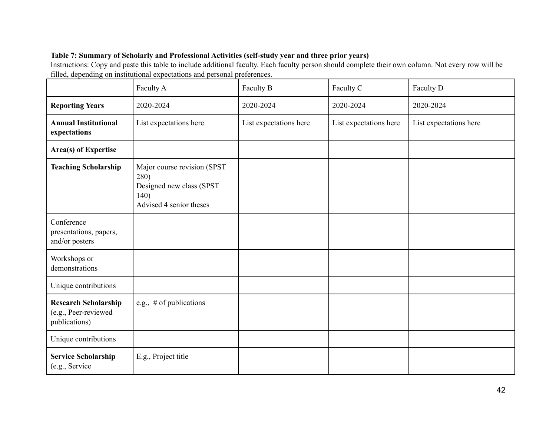#### **Table 7: Summary of Scholarly and Professional Activities (self-study year and three prior years)**

Instructions: Copy and paste this table to include additional faculty. Each faculty person should complete their own column. Not every row will be filled, depending on institutional expectations and personal preferences.

|                                                                      | Faculty A                                                                                          | Faculty B              | Faculty C              | Faculty D              |
|----------------------------------------------------------------------|----------------------------------------------------------------------------------------------------|------------------------|------------------------|------------------------|
| <b>Reporting Years</b>                                               | 2020-2024                                                                                          | 2020-2024              | 2020-2024              | 2020-2024              |
| <b>Annual Institutional</b><br>expectations                          | List expectations here                                                                             | List expectations here | List expectations here | List expectations here |
| <b>Area(s) of Expertise</b>                                          |                                                                                                    |                        |                        |                        |
| <b>Teaching Scholarship</b>                                          | Major course revision (SPST<br>280)<br>Designed new class (SPST<br>140)<br>Advised 4 senior theses |                        |                        |                        |
| Conference<br>presentations, papers,<br>and/or posters               |                                                                                                    |                        |                        |                        |
| Workshops or<br>demonstrations                                       |                                                                                                    |                        |                        |                        |
| Unique contributions                                                 |                                                                                                    |                        |                        |                        |
| <b>Research Scholarship</b><br>(e.g., Peer-reviewed<br>publications) | e.g., $#$ of publications                                                                          |                        |                        |                        |
| Unique contributions                                                 |                                                                                                    |                        |                        |                        |
| <b>Service Scholarship</b><br>(e.g., Service                         | E.g., Project title                                                                                |                        |                        |                        |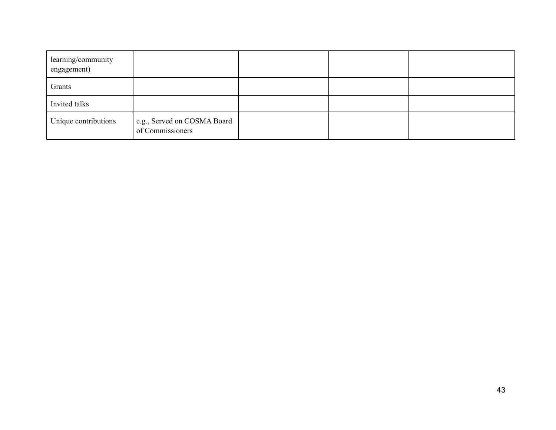| learning/community<br>engagement) |                                                 |  |  |
|-----------------------------------|-------------------------------------------------|--|--|
| Grants                            |                                                 |  |  |
| Invited talks                     |                                                 |  |  |
| Unique contributions              | e.g., Served on COSMA Board<br>of Commissioners |  |  |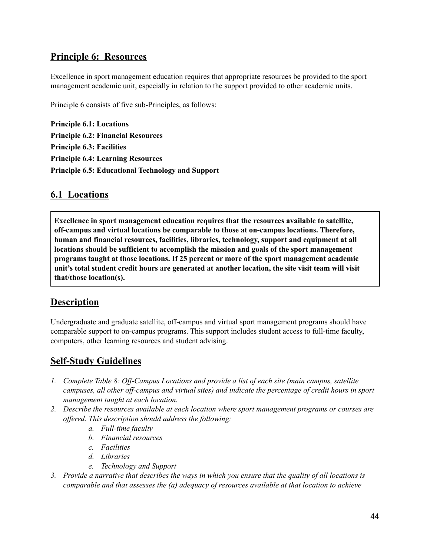#### **Principle 6: Resources**

Excellence in sport management education requires that appropriate resources be provided to the sport management academic unit, especially in relation to the support provided to other academic units.

Principle 6 consists of five sub-Principles, as follows:

**Principle 6.1: Locations Principle 6.2: Financial Resources Principle 6.3: Facilities Principle 6.4: Learning Resources Principle 6.5: Educational Technology and Support**

#### **6.1 Locations**

**Excellence in sport management education requires that the resources available to satellite, off-campus and virtual locations be comparable to those at on-campus locations. Therefore, human and financial resources, facilities, libraries, technology, support and equipment at all locations should be sufficient to accomplish the mission and goals of the sport management programs taught at those locations. If 25 percent or more of the sport management academic unit's total student credit hours are generated at another location, the site visit team will visit that/those location(s).**

#### **Description**

Undergraduate and graduate satellite, off-campus and virtual sport management programs should have comparable support to on-campus programs. This support includes student access to full-time faculty, computers, other learning resources and student advising.

- *1. Complete Table 8: Of -Campus Locations and provide a list of each site (main campus, satellite campuses, all other of -campus and virtual sites) and indicate the percentage of credit hours in sport management taught at each location.*
- *2. Describe the resources available at each location where sport management programs or courses are of ered. This description should address the following:*
	- *a. Full-time faculty*
	- *b. Financial resources*
	- *c. Facilities*
	- *d. Libraries*
	- *e. Technology and Support*
- 3. Provide a narrative that describes the ways in which you ensure that the quality of all locations is *comparable and that assesses the (a) adequacy of resources available at that location to achieve*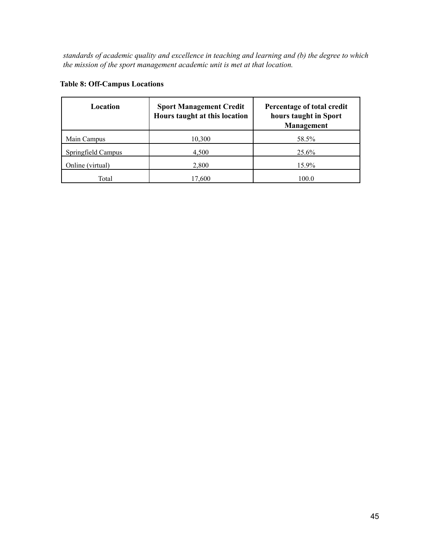*standards of academic quality and excellence in teaching and learning and (b) the degree to which the mission of the sport management academic unit is met at that location.*

| Location           | <b>Sport Management Credit</b><br>Hours taught at this location | Percentage of total credit<br>hours taught in Sport<br>Management |  |  |
|--------------------|-----------------------------------------------------------------|-------------------------------------------------------------------|--|--|
| Main Campus        | 10,300                                                          | 58.5%                                                             |  |  |
| Springfield Campus | 4,500                                                           | 25.6%                                                             |  |  |
| Online (virtual)   | 2,800                                                           | 15.9%                                                             |  |  |
| Total              | 17.600                                                          | 100.0                                                             |  |  |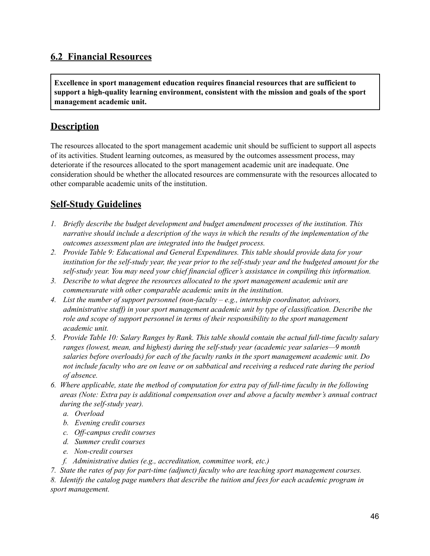#### **6.2 Financial Resources**

**Excellence in sport management education requires financial resources that are sufficient to support a high-quality learning environment, consistent with the mission and goals of the sport management academic unit.**

#### **Description**

The resources allocated to the sport management academic unit should be sufficient to support all aspects of its activities. Student learning outcomes, as measured by the outcomes assessment process, may deteriorate if the resources allocated to the sport management academic unit are inadequate. One consideration should be whether the allocated resources are commensurate with the resources allocated to other comparable academic units of the institution.

#### **Self-Study Guidelines**

- *1. Briefly describe the budget development and budget amendment processes of the institution. This narrative should include a description of the ways in which the results of the implementation of the outcomes assessment plan are integrated into the budget process.*
- *2. Provide Table 9: Educational and General Expenditures. This table should provide data for your* institution for the self-study year, the year prior to the self-study year and the budgeted amount for the *self-study year. You may need your chief financial of icer's assistance in compiling this information.*
- *3. Describe to what degree the resources allocated to the sport management academic unit are commensurate with other comparable academic units in the institution.*
- *4. List the number of support personnel (non-faculty – e.g., internship coordinator, advisors, administrative staf ) in your sport management academic unit by type of classification. Describe the role and scope of support personnel in terms of their responsibility to the sport management academic unit.*
- *5. Provide Table 10: Salary Ranges by Rank. This table should contain the actual full-time faculty salary ranges (lowest, mean, and highest) during the self-study year (academic year salaries—9 month salaries before overloads) for each of the faculty ranks in the sport management academic unit. Do* not include faculty who are on leave or on sabbatical and receiving a reduced rate during the period *of absence.*
- *6. Where applicable, state the method of computation for extra pay of full-time faculty in the following areas (Note: Extra pay is additional compensation over and above a faculty member's annual contract during the self-study year).*
	- *a. Overload*
	- *b. Evening credit courses*
	- *c. Of -campus credit courses*
	- *d. Summer credit courses*
	- *e. Non-credit courses*
	- *f. Administrative duties (e.g., accreditation, committee work, etc.)*
- *7. State the rates of pay for part-time (adjunct) faculty who are teaching sport management courses.*

*8. Identify the catalog page numbers that describe the tuition and fees for each academic program in sport management.*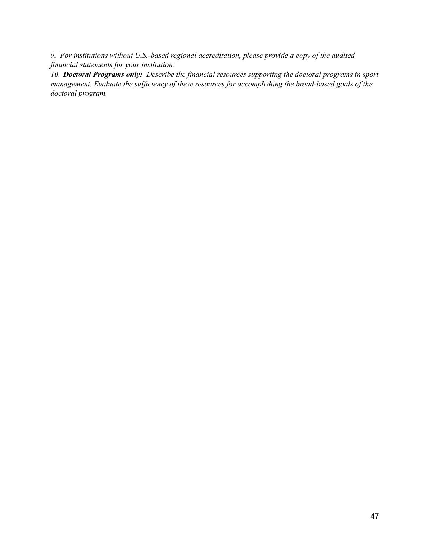*9. For institutions without U.S.-based regional accreditation, please provide a copy of the audited financial statements for your institution.*

*10. Doctoral Programs only: Describe the financial resources supporting the doctoral programs in sport management. Evaluate the suf iciency of these resources for accomplishing the broad-based goals of the doctoral program.*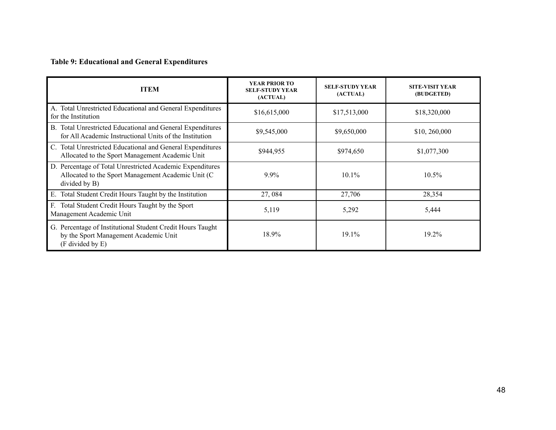### **Table 9: Educational and General Expenditures**

| <b>ITEM</b>                                                                                                                      | <b>YEAR PRIOR TO</b><br><b>SELF-STUDY YEAR</b><br>(ACTUAL) | <b>SELF-STUDY YEAR</b><br>(ACTUAL) | <b>SITE-VISIT YEAR</b><br>(BUDGETED) |
|----------------------------------------------------------------------------------------------------------------------------------|------------------------------------------------------------|------------------------------------|--------------------------------------|
| A. Total Unrestricted Educational and General Expenditures<br>for the Institution                                                | \$16,615,000                                               | \$17,513,000                       | \$18,320,000                         |
| B. Total Unrestricted Educational and General Expenditures<br>for All Academic Instructional Units of the Institution            | \$9,545,000                                                | \$9,650,000                        | \$10, 260,000                        |
| C. Total Unrestricted Educational and General Expenditures<br>Allocated to the Sport Management Academic Unit                    | \$944,955                                                  | \$974,650                          | \$1,077,300                          |
| D. Percentage of Total Unrestricted Academic Expenditures<br>Allocated to the Sport Management Academic Unit (C<br>divided by B) | 9.9%                                                       | $10.1\%$                           | $10.5\%$                             |
| E. Total Student Credit Hours Taught by the Institution                                                                          | 27,084                                                     | 27,706                             | 28,354                               |
| Total Student Credit Hours Taught by the Sport<br>F.<br>Management Academic Unit                                                 | 5,119                                                      | 5,292                              | 5,444                                |
| G. Percentage of Institutional Student Credit Hours Taught<br>by the Sport Management Academic Unit<br>(F divided by E)          | 18.9%                                                      | 19.1%                              | 19.2%                                |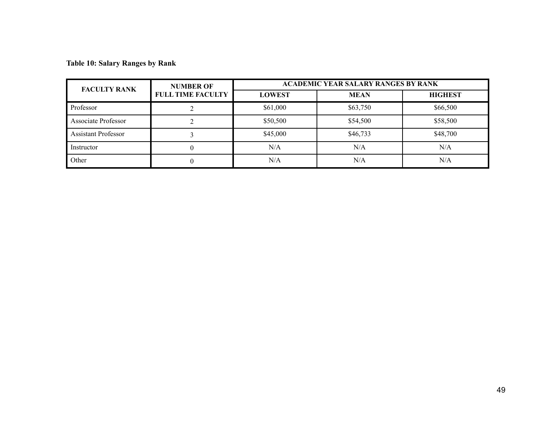**Table 10: Salary Ranges by Rank**

| <b>FACULTY RANK</b>        | <b>NUMBER OF</b>         | <b>ACADEMIC YEAR SALARY RANGES BY RANK</b> |             |                |  |  |  |
|----------------------------|--------------------------|--------------------------------------------|-------------|----------------|--|--|--|
|                            | <b>FULL TIME FACULTY</b> | <b>LOWEST</b>                              | <b>MEAN</b> | <b>HIGHEST</b> |  |  |  |
| Professor                  |                          | \$61,000                                   | \$63,750    | \$66,500       |  |  |  |
| <b>Associate Professor</b> |                          | \$50,500                                   | \$54,500    | \$58,500       |  |  |  |
| <b>Assistant Professor</b> |                          | \$45,000                                   | \$46,733    | \$48,700       |  |  |  |
| Instructor                 | U                        | N/A                                        | N/A         | N/A            |  |  |  |
| Other                      | 0                        | N/A                                        | N/A         | N/A            |  |  |  |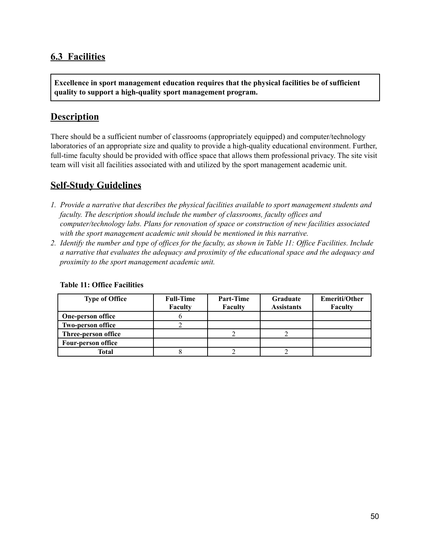#### **6.3 Facilities**

**Excellence in sport management education requires that the physical facilities be of sufficient quality to support a high-quality sport management program.**

#### **Description**

There should be a sufficient number of classrooms (appropriately equipped) and computer/technology laboratories of an appropriate size and quality to provide a high-quality educational environment. Further, full-time faculty should be provided with office space that allows them professional privacy. The site visit team will visit all facilities associated with and utilized by the sport management academic unit.

#### **Self-Study Guidelines**

- *1. Provide a narrative that describes the physical facilities available to sport management students and faculty. The description should include the number of classrooms, faculty of ices and computer/technology labs. Plans for renovation of space or construction of new facilities associated with the sport management academic unit should be mentioned in this narrative.*
- 2. Identify the number and type of offices for the faculty, as shown in Table 11: Office Facilities. Include *a narrative that evaluates the adequacy and proximity of the educational space and the adequacy and proximity to the sport management academic unit.*

| <b>Type of Office</b>     | <b>Full-Time</b> | Part-Time | <b>Graduate</b>   | <b>Emeriti/Other</b> |
|---------------------------|------------------|-----------|-------------------|----------------------|
|                           | Faculty          | Faculty   | <b>Assistants</b> | Faculty              |
| <b>One-person office</b>  |                  |           |                   |                      |
| <b>Two-person office</b>  |                  |           |                   |                      |
| Three-person office       |                  |           |                   |                      |
| <b>Four-person office</b> |                  |           |                   |                      |
| Total                     |                  |           |                   |                      |

#### **Table 11: Office Facilities**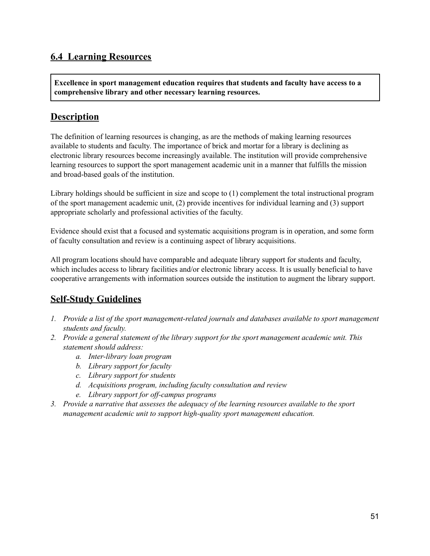#### **6.4 Learning Resources**

**Excellence in sport management education requires that students and faculty have access to a comprehensive library and other necessary learning resources.**

#### **Description**

The definition of learning resources is changing, as are the methods of making learning resources available to students and faculty. The importance of brick and mortar for a library is declining as electronic library resources become increasingly available. The institution will provide comprehensive learning resources to support the sport management academic unit in a manner that fulfills the mission and broad-based goals of the institution.

Library holdings should be sufficient in size and scope to (1) complement the total instructional program of the sport management academic unit, (2) provide incentives for individual learning and (3) support appropriate scholarly and professional activities of the faculty.

Evidence should exist that a focused and systematic acquisitions program is in operation, and some form of faculty consultation and review is a continuing aspect of library acquisitions.

All program locations should have comparable and adequate library support for students and faculty, which includes access to library facilities and/or electronic library access. It is usually beneficial to have cooperative arrangements with information sources outside the institution to augment the library support.

- *1. Provide a list of the sport management-related journals and databases available to sport management students and faculty.*
- *2. Provide a general statement of the library support for the sport management academic unit. This statement should address:*
	- *a. Inter-library loan program*
	- *b. Library support for faculty*
	- *c. Library support for students*
	- *d. Acquisitions program, including faculty consultation and review*
	- *e. Library support for of -campus programs*
- *3. Provide a narrative that assesses the adequacy of the learning resources available to the sport management academic unit to support high-quality sport management education.*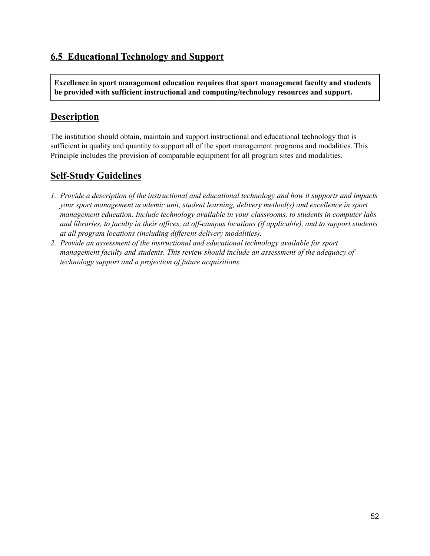## **6.5 Educational Technology and Support**

**Excellence in sport management education requires that sport management faculty and students be provided with sufficient instructional and computing/technology resources and support.**

#### **Description**

The institution should obtain, maintain and support instructional and educational technology that is sufficient in quality and quantity to support all of the sport management programs and modalities. This Principle includes the provision of comparable equipment for all program sites and modalities.

- *1. Provide a description of the instructional and educational technology and how it supports and impacts your sport management academic unit, student learning, delivery method(s) and excellence in sport management education. Include technology available in your classrooms, to students in computer labs* and libraries, to faculty in their offices, at off-campus locations (if applicable), and to support students *at all program locations (including dif erent delivery modalities).*
- *2. Provide an assessment of the instructional and educational technology available for sport management faculty and students. This review should include an assessment of the adequacy of technology support and a projection of future acquisitions.*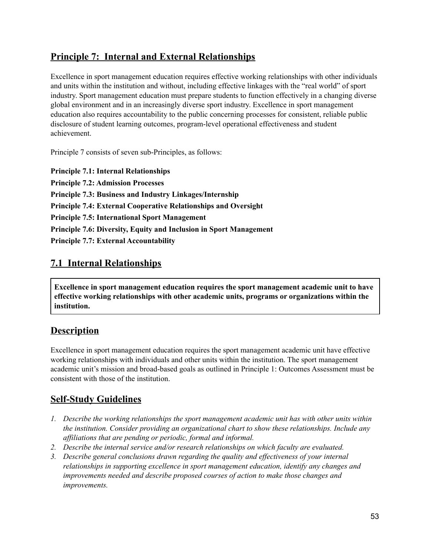### **Principle 7: Internal and External Relationships**

Excellence in sport management education requires effective working relationships with other individuals and units within the institution and without, including effective linkages with the "real world" of sport industry. Sport management education must prepare students to function effectively in a changing diverse global environment and in an increasingly diverse sport industry. Excellence in sport management education also requires accountability to the public concerning processes for consistent, reliable public disclosure of student learning outcomes, program-level operational effectiveness and student achievement.

Principle 7 consists of seven sub-Principles, as follows:

**Principle 7.1: Internal Relationships Principle 7.2: Admission Processes Principle 7.3: Business and Industry Linkages/Internship Principle 7.4: External Cooperative Relationships and Oversight Principle 7.5: International Sport Management Principle 7.6: Diversity, Equity and Inclusion in Sport Management Principle 7.7: External Accountability**

#### **7.1 Internal Relationships**

**Excellence in sport management education requires the sport management academic unit to have effective working relationships with other academic units, programs or organizations within the institution.**

#### **Description**

Excellence in sport management education requires the sport management academic unit have effective working relationships with individuals and other units within the institution. The sport management academic unit's mission and broad-based goals as outlined in Principle 1: Outcomes Assessment must be consistent with those of the institution.

- *1. Describe the working relationships the sport management academic unit has with other units within the institution. Consider providing an organizational chart to show these relationships. Include any af iliations that are pending or periodic, formal and informal.*
- *2. Describe the internal service and/or research relationships on which faculty are evaluated.*
- *3. Describe general conclusions drawn regarding the quality and ef ectiveness of your internal relationships in supporting excellence in sport management education, identify any changes and improvements needed and describe proposed courses of action to make those changes and improvements.*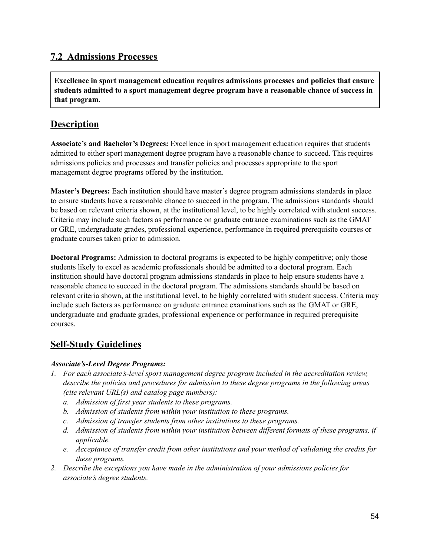#### **7.2 Admissions Processes**

**Excellence in sport management education requires admissions processes and policies that ensure students admitted to a sport management degree program have a reasonable chance of success in that program.**

#### **Description**

**Associate's and Bachelor's Degrees:** Excellence in sport management education requires that students admitted to either sport management degree program have a reasonable chance to succeed. This requires admissions policies and processes and transfer policies and processes appropriate to the sport management degree programs offered by the institution.

**Master's Degrees:** Each institution should have master's degree program admissions standards in place to ensure students have a reasonable chance to succeed in the program. The admissions standards should be based on relevant criteria shown, at the institutional level, to be highly correlated with student success. Criteria may include such factors as performance on graduate entrance examinations such as the GMAT or GRE, undergraduate grades, professional experience, performance in required prerequisite courses or graduate courses taken prior to admission.

**Doctoral Programs:** Admission to doctoral programs is expected to be highly competitive; only those students likely to excel as academic professionals should be admitted to a doctoral program. Each institution should have doctoral program admissions standards in place to help ensure students have a reasonable chance to succeed in the doctoral program. The admissions standards should be based on relevant criteria shown, at the institutional level, to be highly correlated with student success. Criteria may include such factors as performance on graduate entrance examinations such as the GMAT or GRE, undergraduate and graduate grades, professional experience or performance in required prerequisite courses.

#### **Self-Study Guidelines**

#### *Associate's-Level Degree Programs:*

- *1. For each associate's-level sport management degree program included in the accreditation review, describe the policies and procedures for admission to these degree programs in the following areas (cite relevant URL(s) and catalog page numbers):*
	- *a. Admission of first year students to these programs.*
	- *b. Admission of students from within your institution to these programs.*
	- *c. Admission of transfer students from other institutions to these programs.*
	- *d. Admission of students from within your institution between dif erent formats of these programs, if applicable.*
	- *e. Acceptance of transfer credit from other institutions and your method of validating the credits for these programs.*
- *2. Describe the exceptions you have made in the administration of your admissions policies for associate's degree students.*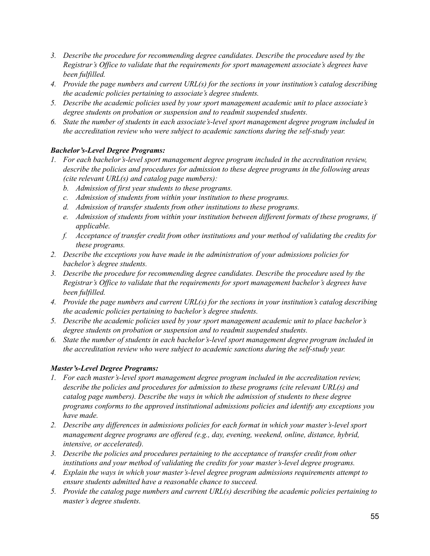- *3. Describe the procedure for recommending degree candidates. Describe the procedure used by the Registrar's Of ice to validate that the requirements for sport management associate's degrees have been fulfilled.*
- *4. Provide the page numbers and current URL(s) for the sections in your institution's catalog describing the academic policies pertaining to associate's degree students.*
- *5. Describe the academic policies used by your sport management academic unit to place associate's degree students on probation or suspension and to readmit suspended students.*
- *6. State the number of students in each associate's-level sport management degree program included in the accreditation review who were subject to academic sanctions during the self-study year.*

#### *Bachelor's-Level Degree Programs:*

- *1. For each bachelor's-level sport management degree program included in the accreditation review, describe the policies and procedures for admission to these degree programs in the following areas (cite relevant URL(s) and catalog page numbers):*
	- *b. Admission of first year students to these programs.*
	- *c. Admission of students from within your institution to these programs.*
	- *d. Admission of transfer students from other institutions to these programs.*
	- *e. Admission of students from within your institution between dif erent formats of these programs, if applicable.*
	- *f. Acceptance of transfer credit from other institutions and your method of validating the credits for these programs.*
- *2. Describe the exceptions you have made in the administration of your admissions policies for bachelor's degree students.*
- *3. Describe the procedure for recommending degree candidates. Describe the procedure used by the Registrar's Of ice to validate that the requirements for sport management bachelor's degrees have been fulfilled.*
- *4. Provide the page numbers and current URL(s) for the sections in your institution's catalog describing the academic policies pertaining to bachelor's degree students.*
- *5. Describe the academic policies used by your sport management academic unit to place bachelor's degree students on probation or suspension and to readmit suspended students.*
- *6. State the number of students in each bachelor's-level sport management degree program included in the accreditation review who were subject to academic sanctions during the self-study year.*

#### *Master's-Level Degree Programs:*

- *1. For each master's-level sport management degree program included in the accreditation review, describe the policies and procedures for admission to these programs (cite relevant URL(s) and catalog page numbers). Describe the ways in which the admission of students to these degree programs conforms to the approved institutional admissions policies and identify any exceptions you have made.*
- *2. Describe any dif erences in admissions policies for each format in which your master's-level sport management degree programs are of ered (e.g., day, evening, weekend, online, distance, hybrid, intensive, or accelerated).*
- *3. Describe the policies and procedures pertaining to the acceptance of transfer credit from other institutions and your method of validating the credits for your master's-level degree programs.*
- *4. Explain the ways in which your master's-level degree program admissions requirements attempt to ensure students admitted have a reasonable chance to succeed.*
- *5. Provide the catalog page numbers and current URL(s) describing the academic policies pertaining to master's degree students.*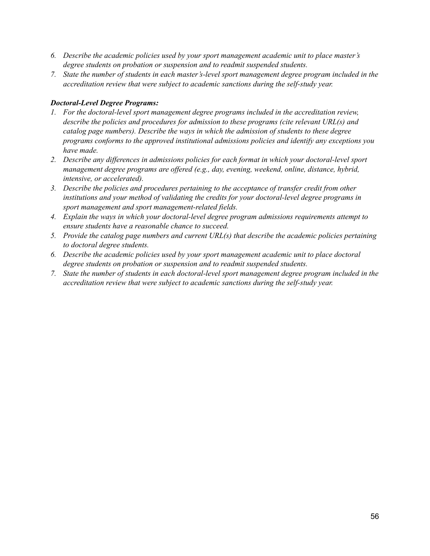- *6. Describe the academic policies used by your sport management academic unit to place master's degree students on probation or suspension and to readmit suspended students.*
- *7. State the number of students in each master's-level sport management degree program included in the accreditation review that were subject to academic sanctions during the self-study year.*

#### *Doctoral-Level Degree Programs:*

- *1. For the doctoral-level sport management degree programs included in the accreditation review, describe the policies and procedures for admission to these programs (cite relevant URL(s) and catalog page numbers). Describe the ways in which the admission of students to these degree programs conforms to the approved institutional admissions policies and identify any exceptions you have made.*
- *2. Describe any dif erences in admissions policies for each format in which your doctoral-level sport management degree programs are of ered (e.g., day, evening, weekend, online, distance, hybrid, intensive, or accelerated).*
- *3. Describe the policies and procedures pertaining to the acceptance of transfer credit from other institutions and your method of validating the credits for your doctoral-level degree programs in sport management and sport management-related fields.*
- *4. Explain the ways in which your doctoral-level degree program admissions requirements attempt to ensure students have a reasonable chance to succeed.*
- *5. Provide the catalog page numbers and current URL(s) that describe the academic policies pertaining to doctoral degree students.*
- *6. Describe the academic policies used by your sport management academic unit to place doctoral degree students on probation or suspension and to readmit suspended students.*
- *7. State the number of students in each doctoral-level sport management degree program included in the accreditation review that were subject to academic sanctions during the self-study year.*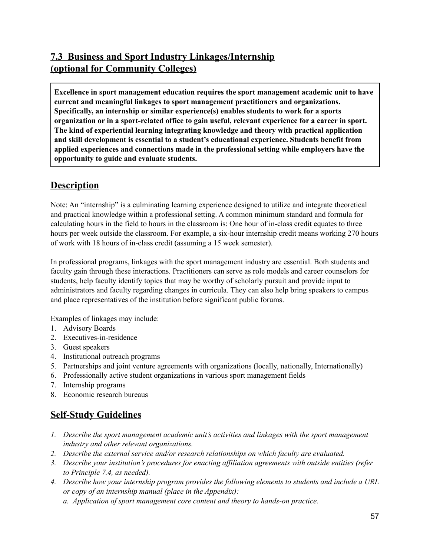## **7.3 Business and Sport Industry Linkages/Internship (optional for Community Colleges)**

**Excellence in sport management education requires the sport management academic unit to have current and meaningful linkages to sport management practitioners and organizations. Specifically, an internship or similar experience(s) enables students to work for a sports organization or in a sport-related office to gain useful, relevant experience for a career in sport. The kind of experiential learning integrating knowledge and theory with practical application and skill development is essential to a student's educational experience. Students benefit from applied experiences and connections made in the professional setting while employers have the opportunity to guide and evaluate students.**

#### **Description**

Note: An "internship" is a culminating learning experience designed to utilize and integrate theoretical and practical knowledge within a professional setting. A common minimum standard and formula for calculating hours in the field to hours in the classroom is: One hour of in-class credit equates to three hours per week outside the classroom. For example, a six-hour internship credit means working 270 hours of work with 18 hours of in-class credit (assuming a 15 week semester).

In professional programs, linkages with the sport management industry are essential. Both students and faculty gain through these interactions. Practitioners can serve as role models and career counselors for students, help faculty identify topics that may be worthy of scholarly pursuit and provide input to administrators and faculty regarding changes in curricula. They can also help bring speakers to campus and place representatives of the institution before significant public forums.

Examples of linkages may include:

- 1. Advisory Boards
- 2. Executives-in-residence
- 3. Guest speakers
- 4. Institutional outreach programs
- 5. Partnerships and joint venture agreements with organizations (locally, nationally, Internationally)
- 6. Professionally active student organizations in various sport management fields
- 7. Internship programs
- 8. Economic research bureaus

- *1. Describe the sport management academic unit's activities and linkages with the sport management industry and other relevant organizations.*
- *2. Describe the external service and/or research relationships on which faculty are evaluated.*
- *3. Describe your institution's procedures for enacting af iliation agreements with outside entities (refer to Principle 7.4, as needed).*
- *4. Describe how your internship program provides the following elements to students and include a URL or copy of an internship manual (place in the Appendix):*
	- *a. Application of sport management core content and theory to hands-on practice.*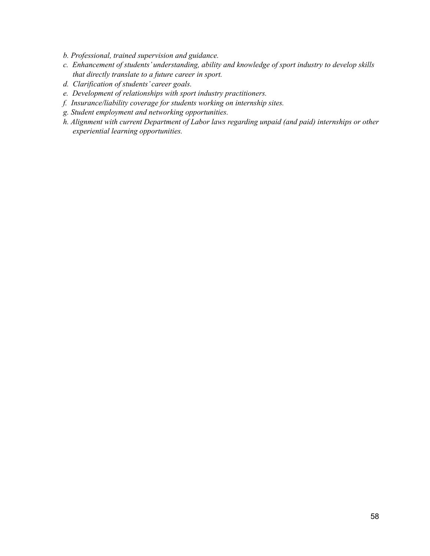- *b. Professional, trained supervision and guidance.*
- *c. Enhancement of students' understanding, ability and knowledge of sport industry to develop skills that directly translate to a future career in sport.*
- *d. Clarification of students' career goals.*
- *e. Development of relationships with sport industry practitioners.*
- *f. Insurance/liability coverage for students working on internship sites.*
- *g. Student employment and networking opportunities.*
- *h. Alignment with current Department of Labor laws regarding unpaid (and paid) internships or other experiential learning opportunities.*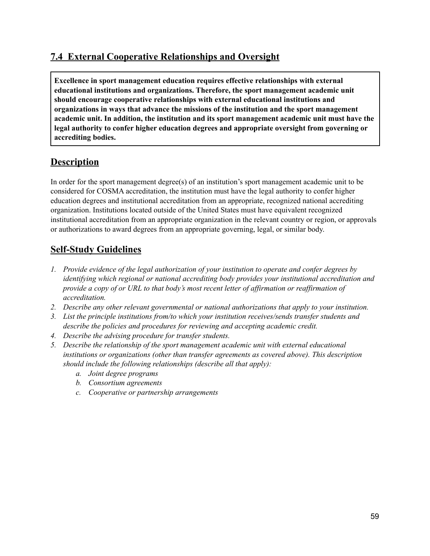### **7.4 External Cooperative Relationships and Oversight**

**Excellence in sport management education requires effective relationships with external educational institutions and organizations. Therefore, the sport management academic unit should encourage cooperative relationships with external educational institutions and organizations in ways that advance the missions of the institution and the sport management academic unit. In addition, the institution and its sport management academic unit must have the legal authority to confer higher education degrees and appropriate oversight from governing or accrediting bodies.**

#### **Description**

In order for the sport management degree(s) of an institution's sport management academic unit to be considered for COSMA accreditation, the institution must have the legal authority to confer higher education degrees and institutional accreditation from an appropriate, recognized national accrediting organization. Institutions located outside of the United States must have equivalent recognized institutional accreditation from an appropriate organization in the relevant country or region, or approvals or authorizations to award degrees from an appropriate governing, legal, or similar body.

- *1. Provide evidence of the legal authorization of your institution to operate and confer degrees by identifying which regional or national accrediting body provides your institutional accreditation and* provide a copy of or URL to that body's most recent letter of affirmation or reaffirmation of *accreditation.*
- *2. Describe any other relevant governmental or national authorizations that apply to your institution.*
- *3. List the principle institutions from/to which your institution receives/sends transfer students and describe the policies and procedures for reviewing and accepting academic credit.*
- *4. Describe the advising procedure for transfer students.*
- *5. Describe the relationship of the sport management academic unit with external educational institutions or organizations (other than transfer agreements as covered above). This description should include the following relationships (describe all that apply):*
	- *a. Joint degree programs*
	- *b. Consortium agreements*
	- *c. Cooperative or partnership arrangements*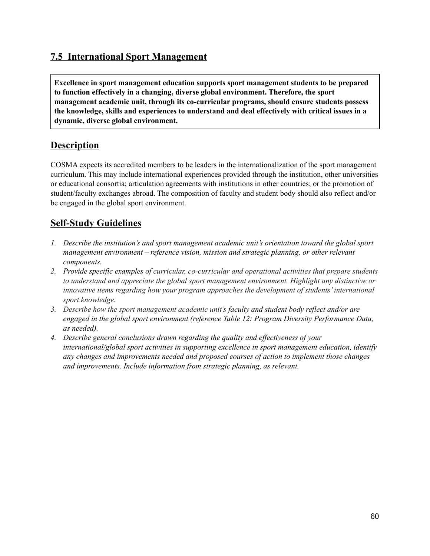#### **7.5 International Sport Management**

**Excellence in sport management education supports sport management students to be prepared to function effectively in a changing, diverse global environment. Therefore, the sport management academic unit, through its co-curricular programs, should ensure students possess the knowledge, skills and experiences to understand and deal effectively with critical issues in a dynamic, diverse global environment.**

#### **Description**

COSMA expects its accredited members to be leaders in the internationalization of the sport management curriculum. This may include international experiences provided through the institution, other universities or educational consortia; articulation agreements with institutions in other countries; or the promotion of student/faculty exchanges abroad. The composition of faculty and student body should also reflect and/or be engaged in the global sport environment.

- *1. Describe the institution's and sport management academic unit's orientation toward the global sport management environment – reference vision, mission and strategic planning, or other relevant components.*
- *2. Provide specific examples of curricular, co-curricular and operational activities that prepare students to understand and appreciate the global sport management environment. Highlight any distinctive or innovative items regarding how your program approaches the development of students'international sport knowledge.*
- *3. Describe how the sport management academic unit's faculty and student body reflect and/or are engaged in the global sport environment (reference Table 12: Program Diversity Performance Data, as needed).*
- *4. Describe general conclusions drawn regarding the quality and ef ectiveness of your international/global sport activities in supporting excellence in sport management education, identify any changes and improvements needed and proposed courses of action to implement those changes and improvements. Include information from strategic planning, as relevant.*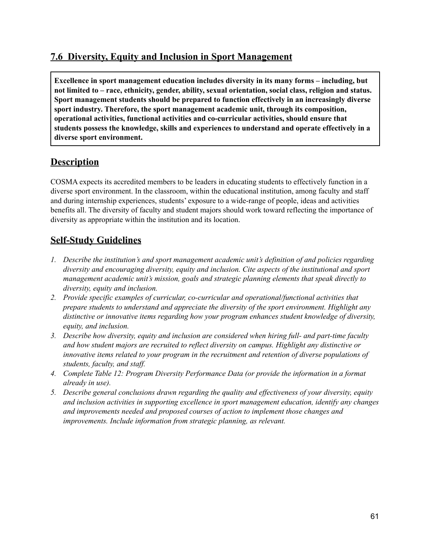### **7.6 Diversity, Equity and Inclusion in Sport Management**

**Excellence in sport management education includes diversity in its many forms – including, but not limited to – race, ethnicity, gender, ability, sexual orientation, social class, religion and status. Sport management students should be prepared to function effectively in an increasingly diverse sport industry. Therefore, the sport management academic unit, through its composition, operational activities, functional activities and co-curricular activities, should ensure that students possess the knowledge, skills and experiences to understand and operate effectively in a diverse sport environment.**

#### **Description**

COSMA expects its accredited members to be leaders in educating students to effectively function in a diverse sport environment. In the classroom, within the educational institution, among faculty and staff and during internship experiences, students' exposure to a wide-range of people, ideas and activities benefits all. The diversity of faculty and student majors should work toward reflecting the importance of diversity as appropriate within the institution and its location.

- *1. Describe the institution's and sport management academic unit's definition of and policies regarding diversity and encouraging diversity, equity and inclusion. Cite aspects of the institutional and sport management academic unit's mission, goals and strategic planning elements that speak directly to diversity, equity and inclusion.*
- *2. Provide specific examples of curricular, co-curricular and operational/functional activities that prepare students to understand and appreciate the diversity of the sport environment. Highlight any distinctive or innovative items regarding how your program enhances student knowledge of diversity, equity, and inclusion.*
- *3. Describe how diversity, equity and inclusion are considered when hiring full- and part-time faculty and how student majors are recruited to reflect diversity on campus. Highlight any distinctive or innovative items related to your program in the recruitment and retention of diverse populations of students, faculty, and staf .*
- *4. Complete Table 12: Program Diversity Performance Data (or provide the information in a format already in use).*
- *5. Describe general conclusions drawn regarding the quality and ef ectiveness of your diversity, equity and inclusion activities in supporting excellence in sport management education, identify any changes and improvements needed and proposed courses of action to implement those changes and improvements. Include information from strategic planning, as relevant.*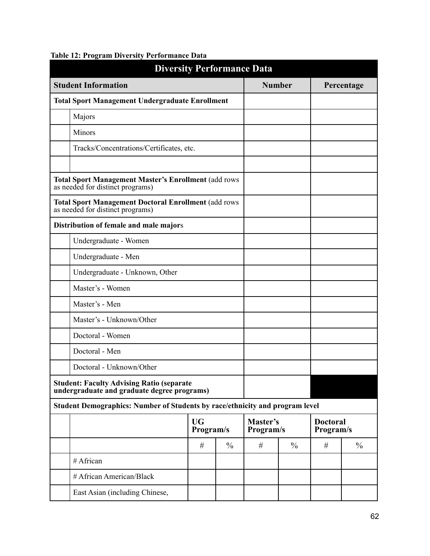| <b>Diversity Performance Data</b>                                                               |                        |               |                       |               |                              |               |
|-------------------------------------------------------------------------------------------------|------------------------|---------------|-----------------------|---------------|------------------------------|---------------|
| <b>Student Information</b>                                                                      |                        |               | <b>Number</b>         |               |                              | Percentage    |
| <b>Total Sport Management Undergraduate Enrollment</b>                                          |                        |               |                       |               |                              |               |
| Majors                                                                                          |                        |               |                       |               |                              |               |
| Minors                                                                                          |                        |               |                       |               |                              |               |
| Tracks/Concentrations/Certificates, etc.                                                        |                        |               |                       |               |                              |               |
|                                                                                                 |                        |               |                       |               |                              |               |
| <b>Total Sport Management Master's Enrollment (add rows</b><br>as needed for distinct programs) |                        |               |                       |               |                              |               |
| <b>Total Sport Management Doctoral Enrollment (add rows</b><br>as needed for distinct programs) |                        |               |                       |               |                              |               |
| Distribution of female and male majors                                                          |                        |               |                       |               |                              |               |
| Undergraduate - Women                                                                           |                        |               |                       |               |                              |               |
| Undergraduate - Men                                                                             |                        |               |                       |               |                              |               |
| Undergraduate - Unknown, Other                                                                  |                        |               |                       |               |                              |               |
| Master's - Women                                                                                |                        |               |                       |               |                              |               |
| Master's - Men                                                                                  |                        |               |                       |               |                              |               |
| Master's - Unknown/Other                                                                        |                        |               |                       |               |                              |               |
| Doctoral - Women                                                                                |                        |               |                       |               |                              |               |
| Doctoral - Men                                                                                  |                        |               |                       |               |                              |               |
| Doctoral - Unknown/Other                                                                        |                        |               |                       |               |                              |               |
| <b>Student: Faculty Advising Ratio (separate</b><br>undergraduate and graduate degree programs) |                        |               |                       |               |                              |               |
| Student Demographics: Number of Students by race/ethnicity and program level                    |                        |               |                       |               |                              |               |
|                                                                                                 | <b>UG</b><br>Program/s |               | Master's<br>Program/s |               | <b>Doctoral</b><br>Program/s |               |
|                                                                                                 | #                      | $\frac{0}{0}$ | #                     | $\frac{0}{0}$ | #                            | $\frac{0}{0}$ |
| # African                                                                                       |                        |               |                       |               |                              |               |
| # African American/Black                                                                        |                        |               |                       |               |                              |               |
| East Asian (including Chinese,                                                                  |                        |               |                       |               |                              |               |

#### **Table 12: Program Diversity Performance Data**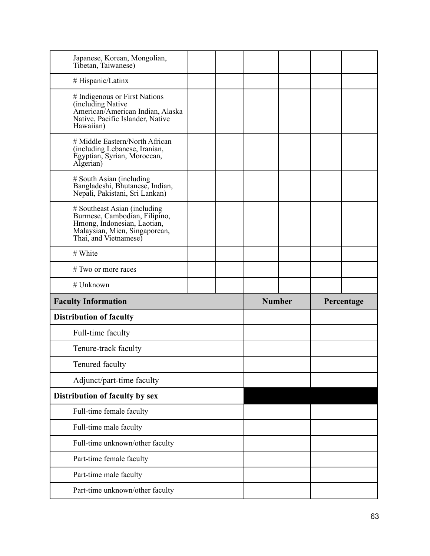| Japanese, Korean, Mongolian,<br>Tibetan, Taiwanese)                                                                                                    |  |               |  |            |
|--------------------------------------------------------------------------------------------------------------------------------------------------------|--|---------------|--|------------|
| # Hispanic/Latinx                                                                                                                                      |  |               |  |            |
| # Indigenous or First Nations<br>(including Native<br>American/American Indian, Alaska<br>Native, Pacific Islander, Native<br>Hawaiian)                |  |               |  |            |
| # Middle Eastern/North African<br>(including Lebanese, Iranian,<br>Egyptian, Syrian, Moroccan,<br>Algerian)                                            |  |               |  |            |
| # South Asian (including<br>Bangladeshi, Bhutanese, Indian,<br>Nepali, Pakistani, Sri Lankan)                                                          |  |               |  |            |
| # Southeast Asian (including<br>Burmese, Cambodian, Filipino,<br>Hmong, Indonesian, Laotian,<br>Malaysian, Mien, Singaporean,<br>Thai, and Vietnamese) |  |               |  |            |
| # White                                                                                                                                                |  |               |  |            |
| # Two or more races                                                                                                                                    |  |               |  |            |
|                                                                                                                                                        |  |               |  |            |
| # Unknown                                                                                                                                              |  |               |  |            |
| <b>Faculty Information</b>                                                                                                                             |  | <b>Number</b> |  | Percentage |
| <b>Distribution of faculty</b>                                                                                                                         |  |               |  |            |
| Full-time faculty                                                                                                                                      |  |               |  |            |
| Tenure-track faculty                                                                                                                                   |  |               |  |            |
| Tenured faculty                                                                                                                                        |  |               |  |            |
| Adjunct/part-time faculty                                                                                                                              |  |               |  |            |
| Distribution of faculty by sex                                                                                                                         |  |               |  |            |
| Full-time female faculty                                                                                                                               |  |               |  |            |
| Full-time male faculty                                                                                                                                 |  |               |  |            |
| Full-time unknown/other faculty                                                                                                                        |  |               |  |            |
| Part-time female faculty                                                                                                                               |  |               |  |            |
| Part-time male faculty                                                                                                                                 |  |               |  |            |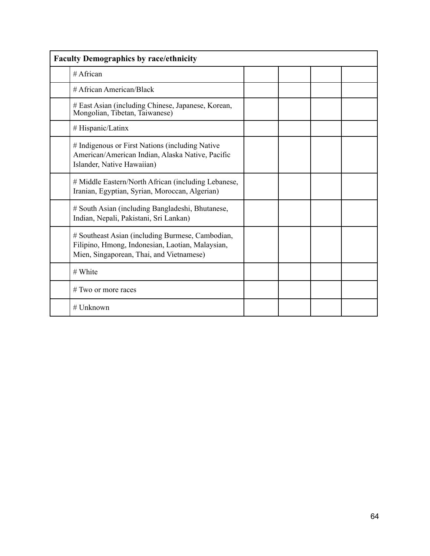| <b>Faculty Demographics by race/ethnicity</b>                                                                                                    |  |  |  |  |  |  |
|--------------------------------------------------------------------------------------------------------------------------------------------------|--|--|--|--|--|--|
| $#$ African                                                                                                                                      |  |  |  |  |  |  |
| # African American/Black                                                                                                                         |  |  |  |  |  |  |
| # East Asian (including Chinese, Japanese, Korean,<br>Mongolian, Tibetan, Taiwanese)                                                             |  |  |  |  |  |  |
| # Hispanic/Latinx                                                                                                                                |  |  |  |  |  |  |
| # Indigenous or First Nations (including Native<br>American/American Indian, Alaska Native, Pacific<br>Islander, Native Hawaiian)                |  |  |  |  |  |  |
| # Middle Eastern/North African (including Lebanese,<br>Iranian, Egyptian, Syrian, Moroccan, Algerian)                                            |  |  |  |  |  |  |
| # South Asian (including Bangladeshi, Bhutanese,<br>Indian, Nepali, Pakistani, Sri Lankan)                                                       |  |  |  |  |  |  |
| # Southeast Asian (including Burmese, Cambodian,<br>Filipino, Hmong, Indonesian, Laotian, Malaysian,<br>Mien, Singaporean, Thai, and Vietnamese) |  |  |  |  |  |  |
| # White                                                                                                                                          |  |  |  |  |  |  |
| # Two or more races                                                                                                                              |  |  |  |  |  |  |
| $#$ Unknown                                                                                                                                      |  |  |  |  |  |  |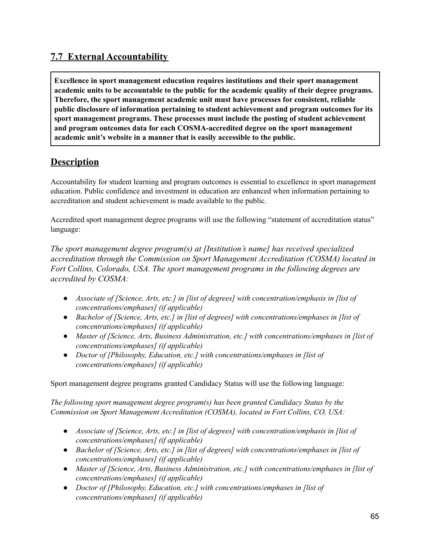## **7.7 External Accountability**

**Excellence in sport management education requires institutions and their sport management academic units to be accountable to the public for the academic quality of their degree programs. Therefore, the sport management academic unit must have processes for consistent, reliable public disclosure of information pertaining to student achievement and program outcomes for its sport management programs. These processes must include the posting of student achievement and program outcomes data for each COSMA-accredited degree on the sport management academic unit's website in a manner that is easily accessible to the public.**

#### **Description**

Accountability for student learning and program outcomes is essential to excellence in sport management education. Public confidence and investment in education are enhanced when information pertaining to accreditation and student achievement is made available to the public.

Accredited sport management degree programs will use the following "statement of accreditation status" language:

*The sport management degree program(s) at [Institution's name] has received specialized accreditation through the Commission on Sport Management Accreditation (COSMA) located in Fort Collins, Colorado, USA. The sport management programs in the following degrees are accredited by COSMA:*

- *● Associate of [Science, Arts, etc.] in [list of degrees] with concentration/emphasis in [list of concentrations/emphases] (if applicable)*
- *● Bachelor of [Science, Arts, etc.] in [list of degrees] with concentrations/emphases in [list of concentrations/emphases] (if applicable)*
- *● Master of [Science, Arts, Business Administration, etc.] with concentrations/emphases in [list of concentrations/emphases] (if applicable)*
- *● Doctor of [Philosophy, Education, etc.] with concentrations/emphases in [list of concentrations/emphases] (if applicable)*

Sport management degree programs granted Candidacy Status will use the following language:

*The following sport management degree program(s) has been granted Candidacy Status by the Commission on Sport Management Accreditation (COSMA), located in Fort Collins, CO, USA:*

- *● Associate of [Science, Arts, etc.] in [list of degrees] with concentration/emphasis in [list of concentrations/emphases] (if applicable)*
- *● Bachelor of [Science, Arts, etc.] in [list of degrees] with concentrations/emphases in [list of concentrations/emphases] (if applicable)*
- *● Master of [Science, Arts, Business Administration, etc.] with concentrations/emphases in [list of concentrations/emphases] (if applicable)*
- *● Doctor of [Philosophy, Education, etc.] with concentrations/emphases in [list of concentrations/emphases] (if applicable)*